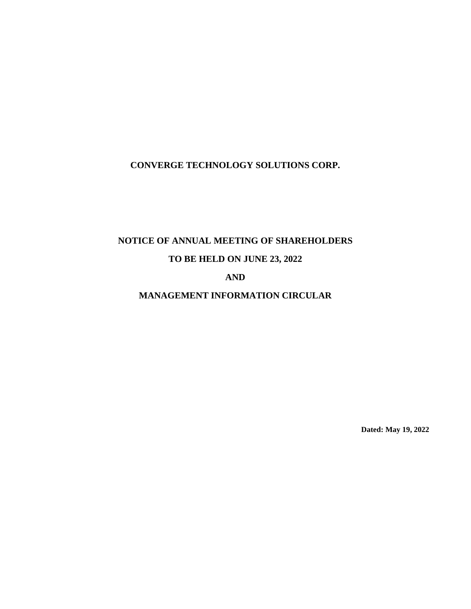# **CONVERGE TECHNOLOGY SOLUTIONS CORP.**

# **NOTICE OF ANNUAL MEETING OF SHAREHOLDERS**

# **TO BE HELD ON JUNE 23, 2022**

# **AND**

# **MANAGEMENT INFORMATION CIRCULAR**

**Dated: May 19, 2022**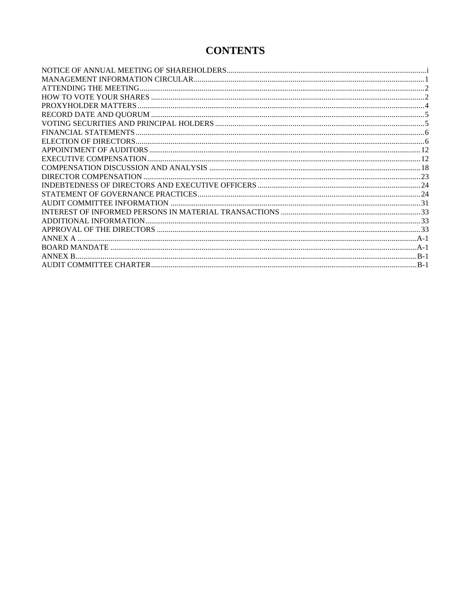# **CONTENTS**

| ANNEX A        |        |
|----------------|--------|
|                |        |
| <b>ANNEX R</b> |        |
|                | $-B-1$ |
|                |        |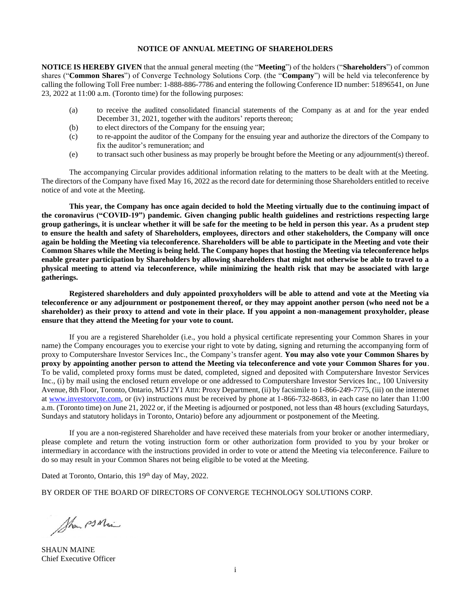#### **NOTICE OF ANNUAL MEETING OF SHAREHOLDERS**

<span id="page-2-0"></span>**NOTICE IS HEREBY GIVEN** that the annual general meeting (the "**Meeting**") of the holders ("**Shareholders**") of common shares ("**Common Shares**") of Converge Technology Solutions Corp. (the "**Company**") will be held via teleconference by calling the following Toll Free number: 1-888-886-7786 and entering the following Conference ID number: 51896541, on June 23, 2022 at 11:00 a.m. (Toronto time) for the following purposes:

- (a) to receive the audited consolidated financial statements of the Company as at and for the year ended December 31, 2021, together with the auditors' reports thereon;
- (b) to elect directors of the Company for the ensuing year;
- (c) to re-appoint the auditor of the Company for the ensuing year and authorize the directors of the Company to fix the auditor's remuneration; and
- (e) to transact such other business as may properly be brought before the Meeting or any adjournment(s) thereof.

The accompanying Circular provides additional information relating to the matters to be dealt with at the Meeting. The directors of the Company have fixed May 16, 2022 as the record date for determining those Shareholders entitled to receive notice of and vote at the Meeting.

**This year, the Company has once again decided to hold the Meeting virtually due to the continuing impact of the coronavirus ("COVID-19") pandemic. Given changing public health guidelines and restrictions respecting large group gatherings, it is unclear whether it will be safe for the meeting to be held in person this year. As a prudent step to ensure the health and safety of Shareholders, employees, directors and other stakeholders, the Company will once again be holding the Meeting via teleconference. Shareholders will be able to participate in the Meeting and vote their Common Shares while the Meeting is being held. The Company hopes that hosting the Meeting via teleconference helps enable greater participation by Shareholders by allowing shareholders that might not otherwise be able to travel to a physical meeting to attend via teleconference, while minimizing the health risk that may be associated with large gatherings.**

**Registered shareholders and duly appointed proxyholders will be able to attend and vote at the Meeting via teleconference or any adjournment or postponement thereof, or they may appoint another person (who need not be a shareholder) as their proxy to attend and vote in their place. If you appoint a non-management proxyholder, please ensure that they attend the Meeting for your vote to count.**

If you are a registered Shareholder (i.e., you hold a physical certificate representing your Common Shares in your name) the Company encourages you to exercise your right to vote by dating, signing and returning the accompanying form of proxy to Computershare Investor Services Inc., the Company's transfer agent. **You may also vote your Common Shares by proxy by appointing another person to attend the Meeting via teleconference and vote your Common Shares for you**. To be valid, completed proxy forms must be dated, completed, signed and deposited with Computershare Investor Services Inc., (i) by mail using the enclosed return envelope or one addressed to Computershare Investor Services Inc., 100 University Avenue, 8th Floor, Toronto, Ontario, M5J 2Y1 Attn: Proxy Department, (ii) by facsimile to 1-866-249-7775, (iii) on the internet at [www.investorvote.com,](http://www.investorvote.com/) or (iv) instructions must be received by phone at 1-866-732-8683, in each case no later than 11:00 a.m. (Toronto time) on June 21, 2022 or, if the Meeting is adjourned or postponed, not less than 48 hours (excluding Saturdays, Sundays and statutory holidays in Toronto, Ontario) before any adjournment or postponement of the Meeting.

If you are a non-registered Shareholder and have received these materials from your broker or another intermediary, please complete and return the voting instruction form or other authorization form provided to you by your broker or intermediary in accordance with the instructions provided in order to vote or attend the Meeting via teleconference. Failure to do so may result in your Common Shares not being eligible to be voted at the Meeting.

Dated at Toronto, Ontario, this 19<sup>th</sup> day of May, 2022.

BY ORDER OF THE BOARD OF DIRECTORS OF CONVERGE TECHNOLOGY SOLUTIONS CORP.

Shown PS Main

SHAUN MAINE Chief Executive Officer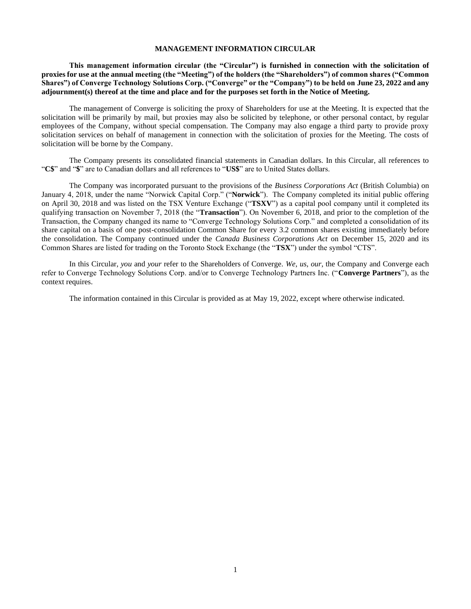#### **MANAGEMENT INFORMATION CIRCULAR**

<span id="page-3-0"></span>**This management information circular (the "Circular") is furnished in connection with the solicitation of proxies for use at the annual meeting (the "Meeting") of the holders (the "Shareholders") of common shares ("Common Shares") of Converge Technology Solutions Corp. ("Converge" or the "Company") to be held on June 23, 2022 and any adjournment(s) thereof at the time and place and for the purposes set forth in the Notice of Meeting.** 

The management of Converge is soliciting the proxy of Shareholders for use at the Meeting. It is expected that the solicitation will be primarily by mail, but proxies may also be solicited by telephone, or other personal contact, by regular employees of the Company, without special compensation. The Company may also engage a third party to provide proxy solicitation services on behalf of management in connection with the solicitation of proxies for the Meeting. The costs of solicitation will be borne by the Company.

The Company presents its consolidated financial statements in Canadian dollars. In this Circular, all references to "**C\$**" and "**\$**" are to Canadian dollars and all references to "**US\$**" are to United States dollars.

The Company was incorporated pursuant to the provisions of the *Business Corporations Act* (British Columbia) on January 4, 2018, under the name "Norwick Capital Corp." ("**Norwick**"). The Company completed its initial public offering on April 30, 2018 and was listed on the TSX Venture Exchange ("**TSXV**") as a capital pool company until it completed its qualifying transaction on November 7, 2018 (the "**Transaction**"). On November 6, 2018, and prior to the completion of the Transaction, the Company changed its name to "Converge Technology Solutions Corp." and completed a consolidation of its share capital on a basis of one post-consolidation Common Share for every 3.2 common shares existing immediately before the consolidation. The Company continued under the *Canada Business Corporations Act* on December 15, 2020 and its Common Shares are listed for trading on the Toronto Stock Exchange (the "**TSX**") under the symbol "CTS".

In this Circular, *you* and *your* refer to the Shareholders of Converge. *We*, *us*, *our*, the Company and Converge each refer to Converge Technology Solutions Corp. and/or to Converge Technology Partners Inc. ("**Converge Partners**"), as the context requires.

The information contained in this Circular is provided as at May 19, 2022, except where otherwise indicated.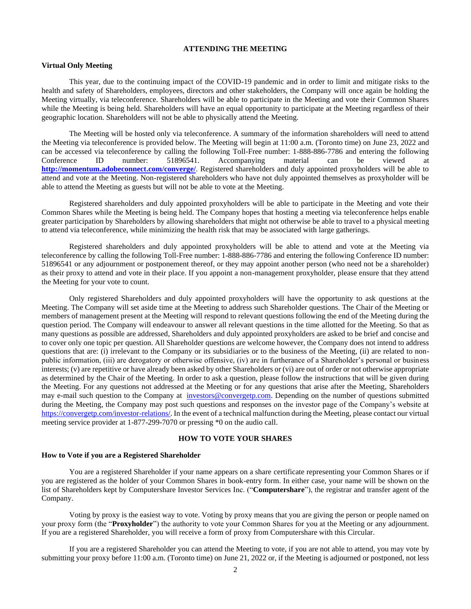#### **ATTENDING THE MEETING**

#### <span id="page-4-0"></span>**Virtual Only Meeting**

This year, due to the continuing impact of the COVID-19 pandemic and in order to limit and mitigate risks to the health and safety of Shareholders, employees, directors and other stakeholders, the Company will once again be holding the Meeting virtually, via teleconference. Shareholders will be able to participate in the Meeting and vote their Common Shares while the Meeting is being held. Shareholders will have an equal opportunity to participate at the Meeting regardless of their geographic location. Shareholders will not be able to physically attend the Meeting.

The Meeting will be hosted only via teleconference. A summary of the information shareholders will need to attend the Meeting via teleconference is provided below. The Meeting will begin at 11:00 a.m. (Toronto time) on June 23, 2022 and can be accessed via teleconference by calling the following Toll-Free number: 1-888-886-7786 and entering the following Conference ID number: 51896541. Accompanying material can be viewed at **<http://momentum.adobeconnect.com/converge/>**. Registered shareholders and duly appointed proxyholders will be able to attend and vote at the Meeting. Non-registered shareholders who have not duly appointed themselves as proxyholder will be able to attend the Meeting as guests but will not be able to vote at the Meeting.

Registered shareholders and duly appointed proxyholders will be able to participate in the Meeting and vote their Common Shares while the Meeting is being held. The Company hopes that hosting a meeting via teleconference helps enable greater participation by Shareholders by allowing shareholders that might not otherwise be able to travel to a physical meeting to attend via teleconference, while minimizing the health risk that may be associated with large gatherings.

Registered shareholders and duly appointed proxyholders will be able to attend and vote at the Meeting via teleconference by calling the following Toll-Free number: 1-888-886-7786 and entering the following Conference ID number: 51896541 or any adjournment or postponement thereof, or they may appoint another person (who need not be a shareholder) as their proxy to attend and vote in their place. If you appoint a non-management proxyholder, please ensure that they attend the Meeting for your vote to count.

Only registered Shareholders and duly appointed proxyholders will have the opportunity to ask questions at the Meeting. The Company will set aside time at the Meeting to address such Shareholder questions. The Chair of the Meeting or members of management present at the Meeting will respond to relevant questions following the end of the Meeting during the question period. The Company will endeavour to answer all relevant questions in the time allotted for the Meeting. So that as many questions as possible are addressed, Shareholders and duly appointed proxyholders are asked to be brief and concise and to cover only one topic per question. All Shareholder questions are welcome however, the Company does not intend to address questions that are: (i) irrelevant to the Company or its subsidiaries or to the business of the Meeting, (ii) are related to nonpublic information, (iii) are derogatory or otherwise offensive, (iv) are in furtherance of a Shareholder's personal or business interests; (v) are repetitive or have already been asked by other Shareholders or (vi) are out of order or not otherwise appropriate as determined by the Chair of the Meeting. In order to ask a question, please follow the instructions that will be given during the Meeting. For any questions not addressed at the Meeting or for any questions that arise after the Meeting, Shareholders may e-mail such question to the Company at [investors@convergetp.com.](mailto:investors@convergetp.com) Depending on the number of questions submitted during the Meeting, the Company may post such questions and responses on the investor page of the Company's website at [https://convergetp.com/investor-relations/.](https://convergetp.com/investor-relations/) In the event of a technical malfunction during the Meeting, please contact our virtual meeting service provider at 1-877-299-7070 or pressing \*0 on the audio call.

#### **HOW TO VOTE YOUR SHARES**

#### <span id="page-4-1"></span>**How to Vote if you are a Registered Shareholder**

You are a registered Shareholder if your name appears on a share certificate representing your Common Shares or if you are registered as the holder of your Common Shares in book-entry form. In either case, your name will be shown on the list of Shareholders kept by Computershare Investor Services Inc. ("**Computershare**"), the registrar and transfer agent of the Company.

Voting by proxy is the easiest way to vote. Voting by proxy means that you are giving the person or people named on your proxy form (the "**Proxyholder**") the authority to vote your Common Shares for you at the Meeting or any adjournment. If you are a registered Shareholder, you will receive a form of proxy from Computershare with this Circular.

If you are a registered Shareholder you can attend the Meeting to vote, if you are not able to attend, you may vote by submitting your proxy before 11:00 a.m. (Toronto time) on June 21, 2022 or, if the Meeting is adjourned or postponed, not less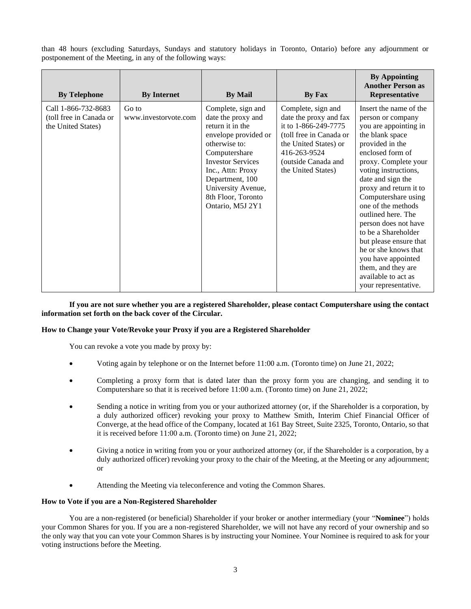than 48 hours (excluding Saturdays, Sundays and statutory holidays in Toronto, Ontario) before any adjournment or postponement of the Meeting, in any of the following ways:

| <b>By Telephone</b>                                                  | <b>By Internet</b>            | <b>By Mail</b>                                                                                                                                                                                                                                             | By Fax                                                                                                                                                                                | <b>By Appointing</b><br><b>Another Person as</b><br>Representative                                                                                                                                                                                                                                                                                                                                                                                                                           |
|----------------------------------------------------------------------|-------------------------------|------------------------------------------------------------------------------------------------------------------------------------------------------------------------------------------------------------------------------------------------------------|---------------------------------------------------------------------------------------------------------------------------------------------------------------------------------------|----------------------------------------------------------------------------------------------------------------------------------------------------------------------------------------------------------------------------------------------------------------------------------------------------------------------------------------------------------------------------------------------------------------------------------------------------------------------------------------------|
| Call 1-866-732-8683<br>(toll free in Canada or<br>the United States) | Go to<br>www.investoryote.com | Complete, sign and<br>date the proxy and<br>return it in the<br>envelope provided or<br>otherwise to:<br>Computershare<br><b>Investor Services</b><br>Inc., Attn: Proxy<br>Department, 100<br>University Avenue,<br>8th Floor, Toronto<br>Ontario, M5J 2Y1 | Complete, sign and<br>date the proxy and fax<br>it to 1-866-249-7775<br>(toll free in Canada or<br>the United States) or<br>416-263-9524<br>(outside Canada and<br>the United States) | Insert the name of the<br>person or company<br>you are appointing in<br>the blank space<br>provided in the<br>enclosed form of<br>proxy. Complete your<br>voting instructions,<br>date and sign the<br>proxy and return it to<br>Computershare using<br>one of the methods<br>outlined here. The<br>person does not have<br>to be a Shareholder<br>but please ensure that<br>he or she knows that<br>you have appointed<br>them, and they are<br>available to act as<br>your representative. |

**If you are not sure whether you are a registered Shareholder, please contact Computershare using the contact information set forth on the back cover of the Circular.**

# **How to Change your Vote/Revoke your Proxy if you are a Registered Shareholder**

You can revoke a vote you made by proxy by:

- Voting again by telephone or on the Internet before 11:00 a.m. (Toronto time) on June 21, 2022;
- Completing a proxy form that is dated later than the proxy form you are changing, and sending it to Computershare so that it is received before 11:00 a.m. (Toronto time) on June 21, 2022;
- Sending a notice in writing from you or your authorized attorney (or, if the Shareholder is a corporation, by a duly authorized officer) revoking your proxy to Matthew Smith, Interim Chief Financial Officer of Converge, at the head office of the Company, located at 161 Bay Street, Suite 2325, Toronto, Ontario, so that it is received before 11:00 a.m. (Toronto time) on June 21, 2022;
- Giving a notice in writing from you or your authorized attorney (or, if the Shareholder is a corporation, by a duly authorized officer) revoking your proxy to the chair of the Meeting, at the Meeting or any adjournment; or
- Attending the Meeting via teleconference and voting the Common Shares.

## **How to Vote if you are a Non-Registered Shareholder**

You are a non-registered (or beneficial) Shareholder if your broker or another intermediary (your "**Nominee**") holds your Common Shares for you. If you are a non-registered Shareholder, we will not have any record of your ownership and so the only way that you can vote your Common Shares is by instructing your Nominee. Your Nominee is required to ask for your voting instructions before the Meeting.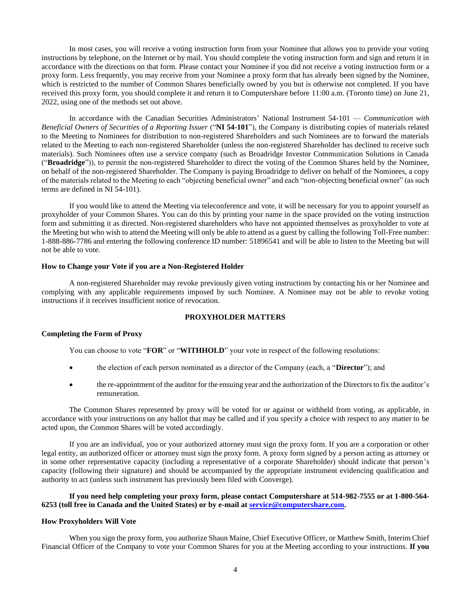In most cases, you will receive a voting instruction form from your Nominee that allows you to provide your voting instructions by telephone, on the Internet or by mail. You should complete the voting instruction form and sign and return it in accordance with the directions on that form. Please contact your Nominee if you did not receive a voting instruction form or a proxy form. Less frequently, you may receive from your Nominee a proxy form that has already been signed by the Nominee, which is restricted to the number of Common Shares beneficially owned by you but is otherwise not completed. If you have received this proxy form, you should complete it and return it to Computershare before 11:00 a.m. (Toronto time) on June 21, 2022, using one of the methods set out above.

In accordance with the Canadian Securities Administrators' National Instrument 54-101 — *Communication with Beneficial Owners of Securities of a Reporting Issuer* ("**NI 54-101**"), the Company is distributing copies of materials related to the Meeting to Nominees for distribution to non-registered Shareholders and such Nominees are to forward the materials related to the Meeting to each non-registered Shareholder (unless the non-registered Shareholder has declined to receive such materials). Such Nominees often use a service company (such as Broadridge Investor Communication Solutions in Canada ("**Broadridge**")), to permit the non-registered Shareholder to direct the voting of the Common Shares held by the Nominee, on behalf of the non-registered Shareholder. The Company is paying Broadridge to deliver on behalf of the Nominees, a copy of the materials related to the Meeting to each "objecting beneficial owner" and each "non-objecting beneficial owner" (as such terms are defined in NI 54-101).

If you would like to attend the Meeting via teleconference and vote, it will be necessary for you to appoint yourself as proxyholder of your Common Shares. You can do this by printing your name in the space provided on the voting instruction form and submitting it as directed. Non-registered shareholders who have not appointed themselves as proxyholder to vote at the Meeting but who wish to attend the Meeting will only be able to attend as a guest by calling the following Toll-Free number: 1-888-886-7786 and entering the following conference ID number: 51896541 and will be able to listen to the Meeting but will not be able to vote.

## **How to Change your Vote if you are a Non-Registered Holder**

A non-registered Shareholder may revoke previously given voting instructions by contacting his or her Nominee and complying with any applicable requirements imposed by such Nominee. A Nominee may not be able to revoke voting instructions if it receives insufficient notice of revocation.

## **PROXYHOLDER MATTERS**

## <span id="page-6-0"></span>**Completing the Form of Proxy**

You can choose to vote "**FOR**" or "**WITHHOLD**" your vote in respect of the following resolutions:

- the election of each person nominated as a director of the Company (each, a "**Director**"); and
- the re-appointment of the auditor for the ensuing year and the authorization of the Directors to fix the auditor's remuneration.

The Common Shares represented by proxy will be voted for or against or withheld from voting, as applicable, in accordance with your instructions on any ballot that may be called and if you specify a choice with respect to any matter to be acted upon, the Common Shares will be voted accordingly.

If you are an individual, you or your authorized attorney must sign the proxy form. If you are a corporation or other legal entity, an authorized officer or attorney must sign the proxy form. A proxy form signed by a person acting as attorney or in some other representative capacity (including a representative of a corporate Shareholder) should indicate that person's capacity (following their signature) and should be accompanied by the appropriate instrument evidencing qualification and authority to act (unless such instrument has previously been filed with Converge).

**If you need help completing your proxy form, please contact Computershare at 514-982-7555 or at 1-800-564- 6253 (toll free in Canada and the United States) or by e-mail at [service@computershare.com.](mailto:service@computershare.com)**

#### **How Proxyholders Will Vote**

When you sign the proxy form, you authorize Shaun Maine, Chief Executive Officer, or Matthew Smith, Interim Chief Financial Officer of the Company to vote your Common Shares for you at the Meeting according to your instructions. **If you**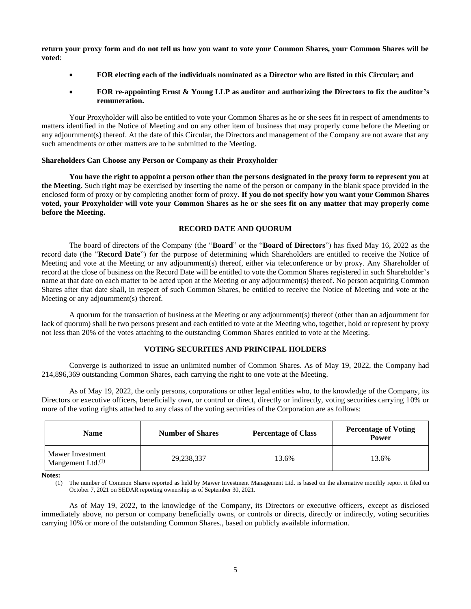**return your proxy form and do not tell us how you want to vote your Common Shares, your Common Shares will be voted**:

- **FOR electing each of the individuals nominated as a Director who are listed in this Circular; and**
- **FOR re-appointing Ernst & Young LLP as auditor and authorizing the Directors to fix the auditor's remuneration.**

Your Proxyholder will also be entitled to vote your Common Shares as he or she sees fit in respect of amendments to matters identified in the Notice of Meeting and on any other item of business that may properly come before the Meeting or any adjournment(s) thereof. At the date of this Circular, the Directors and management of the Company are not aware that any such amendments or other matters are to be submitted to the Meeting.

## **Shareholders Can Choose any Person or Company as their Proxyholder**

**You have the right to appoint a person other than the persons designated in the proxy form to represent you at the Meeting.** Such right may be exercised by inserting the name of the person or company in the blank space provided in the enclosed form of proxy or by completing another form of proxy. **If you do not specify how you want your Common Shares voted, your Proxyholder will vote your Common Shares as he or she sees fit on any matter that may properly come before the Meeting.**

# **RECORD DATE AND QUORUM**

<span id="page-7-0"></span>The board of directors of the Company (the "**Board**" or the "**Board of Directors**") has fixed May 16, 2022 as the record date (the "**Record Date**") for the purpose of determining which Shareholders are entitled to receive the Notice of Meeting and vote at the Meeting or any adjournment(s) thereof, either via teleconference or by proxy. Any Shareholder of record at the close of business on the Record Date will be entitled to vote the Common Shares registered in such Shareholder's name at that date on each matter to be acted upon at the Meeting or any adjournment(s) thereof. No person acquiring Common Shares after that date shall, in respect of such Common Shares, be entitled to receive the Notice of Meeting and vote at the Meeting or any adjournment(s) thereof.

A quorum for the transaction of business at the Meeting or any adjournment(s) thereof (other than an adjournment for lack of quorum) shall be two persons present and each entitled to vote at the Meeting who, together, hold or represent by proxy not less than 20% of the votes attaching to the outstanding Common Shares entitled to vote at the Meeting.

# **VOTING SECURITIES AND PRINCIPAL HOLDERS**

<span id="page-7-1"></span>Converge is authorized to issue an unlimited number of Common Shares. As of May 19, 2022, the Company had 214,896,369 outstanding Common Shares, each carrying the right to one vote at the Meeting.

As of May 19, 2022, the only persons, corporations or other legal entities who, to the knowledge of the Company, its Directors or executive officers, beneficially own, or control or direct, directly or indirectly, voting securities carrying 10% or more of the voting rights attached to any class of the voting securities of the Corporation are as follows:

| <b>Name</b>                              | <b>Number of Shares</b> | <b>Percentage of Class</b> | <b>Percentage of Voting</b><br>Power |
|------------------------------------------|-------------------------|----------------------------|--------------------------------------|
| Mawer Investment<br>Mangement Ltd. $(1)$ | 29,238,337              | 13.6%                      | 13.6%                                |

**Notes:**

The number of Common Shares reported as held by Mawer Investment Management Ltd. is based on the alternative monthly report it filed on October 7, 2021 on SEDAR reporting ownership as of September 30, 2021.

As of May 19, 2022, to the knowledge of the Company, its Directors or executive officers, except as disclosed immediately above, no person or company beneficially owns, or controls or directs, directly or indirectly, voting securities carrying 10% or more of the outstanding Common Shares., based on publicly available information.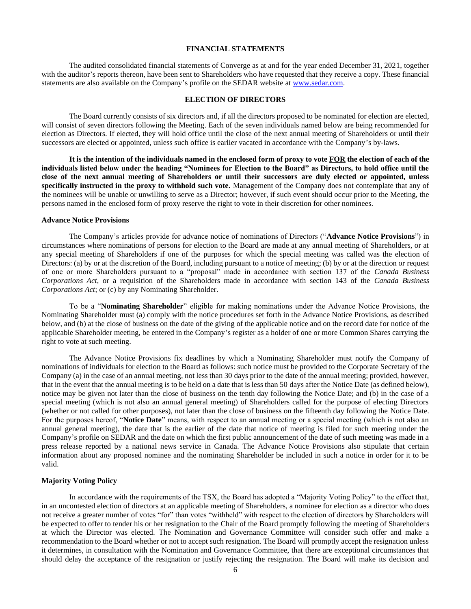#### **FINANCIAL STATEMENTS**

<span id="page-8-0"></span>The audited consolidated financial statements of Converge as at and for the year ended December 31, 2021, together with the auditor's reports thereon, have been sent to Shareholders who have requested that they receive a copy. These financial statements are also available on the Company's profile on the SEDAR website at [www.sedar.com.](http://www.sedar.com/)

#### **ELECTION OF DIRECTORS**

<span id="page-8-1"></span>The Board currently consists of six directors and, if all the directors proposed to be nominated for election are elected, will consist of seven directors following the Meeting. Each of the seven individuals named below are being recommended for election as Directors. If elected, they will hold office until the close of the next annual meeting of Shareholders or until their successors are elected or appointed, unless such office is earlier vacated in accordance with the Company's by-laws.

**It is the intention of the individuals named in the enclosed form of proxy to vote FOR the election of each of the individuals listed below under the heading "Nominees for Election to the Board" as Directors, to hold office until the close of the next annual meeting of Shareholders or until their successors are duly elected or appointed, unless specifically instructed in the proxy to withhold such vote.** Management of the Company does not contemplate that any of the nominees will be unable or unwilling to serve as a Director; however, if such event should occur prior to the Meeting, the persons named in the enclosed form of proxy reserve the right to vote in their discretion for other nominees.

#### **Advance Notice Provisions**

The Company's articles provide for advance notice of nominations of Directors ("**Advance Notice Provisions**") in circumstances where nominations of persons for election to the Board are made at any annual meeting of Shareholders, or at any special meeting of Shareholders if one of the purposes for which the special meeting was called was the election of Directors: (a) by or at the discretion of the Board, including pursuant to a notice of meeting; (b) by or at the direction or request of one or more Shareholders pursuant to a "proposal" made in accordance with section 137 of the *Canada Business Corporations Act*, or a requisition of the Shareholders made in accordance with section 143 of the *Canada Business Corporations Act*; or (c) by any Nominating Shareholder.

To be a "**Nominating Shareholder**" eligible for making nominations under the Advance Notice Provisions, the Nominating Shareholder must (a) comply with the notice procedures set forth in the Advance Notice Provisions, as described below, and (b) at the close of business on the date of the giving of the applicable notice and on the record date for notice of the applicable Shareholder meeting, be entered in the Company's register as a holder of one or more Common Shares carrying the right to vote at such meeting.

The Advance Notice Provisions fix deadlines by which a Nominating Shareholder must notify the Company of nominations of individuals for election to the Board as follows: such notice must be provided to the Corporate Secretary of the Company (a) in the case of an annual meeting, not less than 30 days prior to the date of the annual meeting; provided, however, that in the event that the annual meeting is to be held on a date that is less than 50 days after the Notice Date (as defined below), notice may be given not later than the close of business on the tenth day following the Notice Date; and (b) in the case of a special meeting (which is not also an annual general meeting) of Shareholders called for the purpose of electing Directors (whether or not called for other purposes), not later than the close of business on the fifteenth day following the Notice Date. For the purposes hereof, "**Notice Date**" means, with respect to an annual meeting or a special meeting (which is not also an annual general meeting), the date that is the earlier of the date that notice of meeting is filed for such meeting under the Company's profile on SEDAR and the date on which the first public announcement of the date of such meeting was made in a press release reported by a national news service in Canada. The Advance Notice Provisions also stipulate that certain information about any proposed nominee and the nominating Shareholder be included in such a notice in order for it to be valid.

#### **Majority Voting Policy**

In accordance with the requirements of the TSX, the Board has adopted a "Majority Voting Policy" to the effect that, in an uncontested election of directors at an applicable meeting of Shareholders, a nominee for election as a director who does not receive a greater number of votes "for" than votes "withheld" with respect to the election of directors by Shareholders will be expected to offer to tender his or her resignation to the Chair of the Board promptly following the meeting of Shareholders at which the Director was elected. The Nomination and Governance Committee will consider such offer and make a recommendation to the Board whether or not to accept such resignation. The Board will promptly accept the resignation unless it determines, in consultation with the Nomination and Governance Committee, that there are exceptional circumstances that should delay the acceptance of the resignation or justify rejecting the resignation. The Board will make its decision and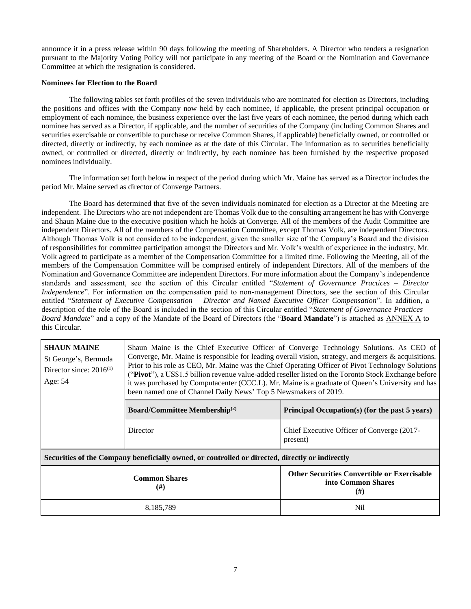announce it in a press release within 90 days following the meeting of Shareholders. A Director who tenders a resignation pursuant to the Majority Voting Policy will not participate in any meeting of the Board or the Nomination and Governance Committee at which the resignation is considered.

## **Nominees for Election to the Board**

The following tables set forth profiles of the seven individuals who are nominated for election as Directors, including the positions and offices with the Company now held by each nominee, if applicable, the present principal occupation or employment of each nominee, the business experience over the last five years of each nominee, the period during which each nominee has served as a Director, if applicable, and the number of securities of the Company (including Common Shares and securities exercisable or convertible to purchase or receive Common Shares, if applicable) beneficially owned, or controlled or directed, directly or indirectly, by each nominee as at the date of this Circular. The information as to securities beneficially owned, or controlled or directed, directly or indirectly, by each nominee has been furnished by the respective proposed nominees individually.

The information set forth below in respect of the period during which Mr. Maine has served as a Director includes the period Mr. Maine served as director of Converge Partners.

The Board has determined that five of the seven individuals nominated for election as a Director at the Meeting are independent. The Directors who are not independent are Thomas Volk due to the consulting arrangement he has with Converge and Shaun Maine due to the executive position which he holds at Converge. All of the members of the Audit Committee are independent Directors. All of the members of the Compensation Committee, except Thomas Volk, are independent Directors. Although Thomas Volk is not considered to be independent, given the smaller size of the Company's Board and the division of responsibilities for committee participation amongst the Directors and Mr. Volk's wealth of experience in the industry, Mr. Volk agreed to participate as a member of the Compensation Committee for a limited time. Following the Meeting, all of the members of the Compensation Committee will be comprised entirely of independent Directors. All of the members of the Nomination and Governance Committee are independent Directors. For more information about the Company's independence standards and assessment, see the section of this Circular entitled "*Statement of Governance Practices – Director Independence*". For information on the compensation paid to non-management Directors, see the section of this Circular entitled "*Statement of Executive Compensation – Director and Named Executive Officer Compensation*". In addition, a description of the role of the Board is included in the section of this Circular entitled "*Statement of Governance Practices – Board Mandate*" and a copy of the Mandate of the Board of Directors (the "**Board Mandate**") is attached as [ANNEX A](#page-36-0) to this Circular.

| <b>SHAUN MAINE</b><br>St George's, Bermuda<br>Director since: $2016^{(1)}$<br>Age: 54 | Shaun Maine is the Chief Executive Officer of Converge Technology Solutions. As CEO of<br>Converge, Mr. Maine is responsible for leading overall vision, strategy, and mergers & acquisitions.<br>Prior to his role as CEO, Mr. Maine was the Chief Operating Officer of Pivot Technology Solutions<br>("Pivot"), a US\$1.5 billion revenue value-added reseller listed on the Toronto Stock Exchange before<br>it was purchased by Computacenter (CCC.L). Mr. Maine is a graduate of Queen's University and has<br>been named one of Channel Daily News' Top 5 Newsmakers of 2019. |                                                                                  |
|---------------------------------------------------------------------------------------|-------------------------------------------------------------------------------------------------------------------------------------------------------------------------------------------------------------------------------------------------------------------------------------------------------------------------------------------------------------------------------------------------------------------------------------------------------------------------------------------------------------------------------------------------------------------------------------|----------------------------------------------------------------------------------|
|                                                                                       | <b>Board/Committee Membership</b> <sup>(2)</sup>                                                                                                                                                                                                                                                                                                                                                                                                                                                                                                                                    | Principal Occupation(s) (for the past 5 years)                                   |
|                                                                                       | Director                                                                                                                                                                                                                                                                                                                                                                                                                                                                                                                                                                            | Chief Executive Officer of Converge (2017-<br>present)                           |
|                                                                                       | Securities of the Company beneficially owned, or controlled or directed, directly or indirectly                                                                                                                                                                                                                                                                                                                                                                                                                                                                                     |                                                                                  |
|                                                                                       | <b>Common Shares</b><br>(# )                                                                                                                                                                                                                                                                                                                                                                                                                                                                                                                                                        | <b>Other Securities Convertible or Exercisable</b><br>into Common Shares<br>(# ) |
|                                                                                       | 8,185,789                                                                                                                                                                                                                                                                                                                                                                                                                                                                                                                                                                           | Nil                                                                              |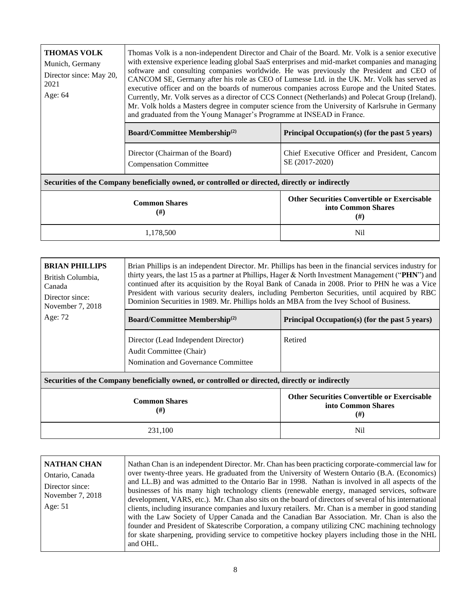| <b>THOMAS VOLK</b><br>Munich, Germany<br>Director since: May 20,<br>2021<br>Age: 64 | Thomas Volk is a non-independent Director and Chair of the Board. Mr. Volk is a senior executive<br>with extensive experience leading global SaaS enterprises and mid-market companies and managing<br>software and consulting companies worldwide. He was previously the President and CEO of<br>CANCOM SE, Germany after his role as CEO of Lumesse Ltd. in the UK. Mr. Volk has served as<br>executive officer and on the boards of numerous companies across Europe and the United States.<br>Currently, Mr. Volk serves as a director of CCS Connect (Netherlands) and Polecat Group (Ireland).<br>Mr. Volk holds a Masters degree in computer science from the University of Karlsruhe in Germany<br>and graduated from the Young Manager's Programme at INSEAD in France. |                                                                 |
|-------------------------------------------------------------------------------------|----------------------------------------------------------------------------------------------------------------------------------------------------------------------------------------------------------------------------------------------------------------------------------------------------------------------------------------------------------------------------------------------------------------------------------------------------------------------------------------------------------------------------------------------------------------------------------------------------------------------------------------------------------------------------------------------------------------------------------------------------------------------------------|-----------------------------------------------------------------|
|                                                                                     | <b>Board/Committee Membership</b> <sup>(2)</sup>                                                                                                                                                                                                                                                                                                                                                                                                                                                                                                                                                                                                                                                                                                                                 | Principal Occupation(s) (for the past 5 years)                  |
|                                                                                     | Director (Chairman of the Board)<br><b>Compensation Committee</b>                                                                                                                                                                                                                                                                                                                                                                                                                                                                                                                                                                                                                                                                                                                | Chief Executive Officer and President, Cancom<br>SE (2017-2020) |
| וגיורי וגיור גיור ווויג וווייש וברות המונחים ומ                                     |                                                                                                                                                                                                                                                                                                                                                                                                                                                                                                                                                                                                                                                                                                                                                                                  |                                                                 |

# **Securities of the Company beneficially owned, or controlled or directed, directly or indirectly**

| <b>Common Shares</b><br>$(\#)$ | <b>Other Securities Convertible or Exercisable</b><br>into Common Shares<br>$^{(#)}$ |
|--------------------------------|--------------------------------------------------------------------------------------|
| 1,178,500                      | Nil                                                                                  |

| <b>BRIAN PHILLIPS</b><br>British Columbia,<br>Canada<br>Director since:<br>November 7, 2018 | Brian Phillips is an independent Director. Mr. Phillips has been in the financial services industry for<br>thirty years, the last 15 as a partner at Phillips, Hager & North Investment Management ("PHN") and<br>continued after its acquisition by the Royal Bank of Canada in 2008. Prior to PHN he was a Vice<br>President with various security dealers, including Pemberton Securities, until acquired by RBC<br>Dominion Securities in 1989. Mr. Phillips holds an MBA from the Ivey School of Business. |                                                |
|---------------------------------------------------------------------------------------------|-----------------------------------------------------------------------------------------------------------------------------------------------------------------------------------------------------------------------------------------------------------------------------------------------------------------------------------------------------------------------------------------------------------------------------------------------------------------------------------------------------------------|------------------------------------------------|
| Age: 72                                                                                     | <b>Board/Committee Membership</b> <sup>(2)</sup>                                                                                                                                                                                                                                                                                                                                                                                                                                                                | Principal Occupation(s) (for the past 5 years) |
|                                                                                             | Director (Lead Independent Director)<br>Audit Committee (Chair)<br>Nomination and Governance Committee                                                                                                                                                                                                                                                                                                                                                                                                          | Retired                                        |
|                                                                                             | Securities of the Company beneficially owned, or controlled or directed, directly or indirectly                                                                                                                                                                                                                                                                                                                                                                                                                 |                                                |
|                                                                                             | <b>Other Securities Convertible or Exercisable</b><br><b>Common Shares</b>                                                                                                                                                                                                                                                                                                                                                                                                                                      |                                                |

| <b>Common Shares</b><br>$(\#)$ | <b>Other Securities Convertible or Exercisable</b><br>into Common Shares<br>$^{(#)}$ |
|--------------------------------|--------------------------------------------------------------------------------------|
| 231,100                        | Nil                                                                                  |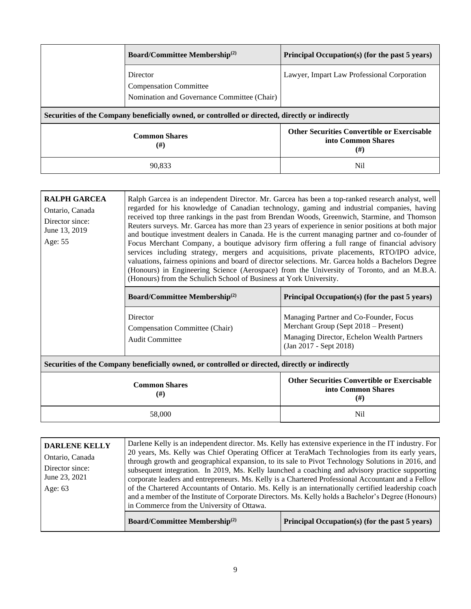| <b>Board/Committee Membership</b> <sup>(2)</sup>                                                | Principal Occupation(s) (for the past 5 years)                                  |
|-------------------------------------------------------------------------------------------------|---------------------------------------------------------------------------------|
| Director<br><b>Compensation Committee</b><br>Nomination and Governance Committee (Chair)        | Lawyer, Impart Law Professional Corporation                                     |
| Securities of the Company beneficially owned, or controlled or directed, directly or indirectly |                                                                                 |
| <b>Common Shares</b><br>$^{(#)}$                                                                | <b>Other Securities Convertible or Exercisable</b><br>into Common Shares<br>(#) |
| 90.833                                                                                          | Nil                                                                             |

| <b>RALPH GARCEA</b><br>Ontario, Canada<br>Director since:<br>June 13, 2019<br>Age: 55           | Ralph Garcea is an independent Director. Mr. Garcea has been a top-ranked research analyst, well<br>regarded for his knowledge of Canadian technology, gaming and industrial companies, having<br>received top three rankings in the past from Brendan Woods, Greenwich, Starmine, and Thomson<br>Reuters surveys. Mr. Garcea has more than 23 years of experience in senior positions at both major<br>and boutique investment dealers in Canada. He is the current managing partner and co-founder of<br>Focus Merchant Company, a boutique advisory firm offering a full range of financial advisory<br>services including strategy, mergers and acquisitions, private placements, RTO/IPO advice,<br>valuations, fairness opinions and board of director selections. Mr. Garcea holds a Bachelors Degree<br>(Honours) in Engineering Science (Aerospace) from the University of Toronto, and an M.B.A.<br>(Honours) from the Schulich School of Business at York University. |                                                                                                                                                        |
|-------------------------------------------------------------------------------------------------|----------------------------------------------------------------------------------------------------------------------------------------------------------------------------------------------------------------------------------------------------------------------------------------------------------------------------------------------------------------------------------------------------------------------------------------------------------------------------------------------------------------------------------------------------------------------------------------------------------------------------------------------------------------------------------------------------------------------------------------------------------------------------------------------------------------------------------------------------------------------------------------------------------------------------------------------------------------------------------|--------------------------------------------------------------------------------------------------------------------------------------------------------|
|                                                                                                 | <b>Board/Committee Membership</b> <sup>(2)</sup>                                                                                                                                                                                                                                                                                                                                                                                                                                                                                                                                                                                                                                                                                                                                                                                                                                                                                                                                 | Principal Occupation(s) (for the past 5 years)                                                                                                         |
|                                                                                                 | Director<br>Compensation Committee (Chair)<br><b>Audit Committee</b>                                                                                                                                                                                                                                                                                                                                                                                                                                                                                                                                                                                                                                                                                                                                                                                                                                                                                                             | Managing Partner and Co-Founder, Focus<br>Merchant Group (Sept 2018 – Present)<br>Managing Director, Echelon Wealth Partners<br>(Jan 2017 - Sept 2018) |
| Securities of the Company beneficially owned, or controlled or directed, directly or indirectly |                                                                                                                                                                                                                                                                                                                                                                                                                                                                                                                                                                                                                                                                                                                                                                                                                                                                                                                                                                                  |                                                                                                                                                        |
|                                                                                                 | <b>Other Securities Convertible or Exercisable</b><br><b>Common Shares</b><br>into Common Shares<br>$^{(#)}$<br>$^{(#)}$                                                                                                                                                                                                                                                                                                                                                                                                                                                                                                                                                                                                                                                                                                                                                                                                                                                         |                                                                                                                                                        |

| <b>DARLENE KELLY</b><br>Ontario, Canada<br>Director since:<br>June 23, 2021<br>Age: 63 | in Commerce from the University of Ottawa.       | Darlene Kelly is an independent director. Ms. Kelly has extensive experience in the IT industry. For<br>20 years, Ms. Kelly was Chief Operating Officer at TeraMach Technologies from its early years,<br>through growth and geographical expansion, to its sale to Pivot Technology Solutions in 2016, and<br>subsequent integration. In 2019, Ms. Kelly launched a coaching and advisory practice supporting<br>corporate leaders and entrepreneurs. Ms. Kelly is a Chartered Professional Accountant and a Fellow<br>of the Chartered Accountants of Ontario. Ms. Kelly is an internationally certified leadership coach<br>and a member of the Institute of Corporate Directors. Ms. Kelly holds a Bachelor's Degree (Honours) |
|----------------------------------------------------------------------------------------|--------------------------------------------------|------------------------------------------------------------------------------------------------------------------------------------------------------------------------------------------------------------------------------------------------------------------------------------------------------------------------------------------------------------------------------------------------------------------------------------------------------------------------------------------------------------------------------------------------------------------------------------------------------------------------------------------------------------------------------------------------------------------------------------|
|                                                                                        | <b>Board/Committee Membership</b> <sup>(2)</sup> | Principal Occupation(s) (for the past 5 years)                                                                                                                                                                                                                                                                                                                                                                                                                                                                                                                                                                                                                                                                                     |

58,000 Nil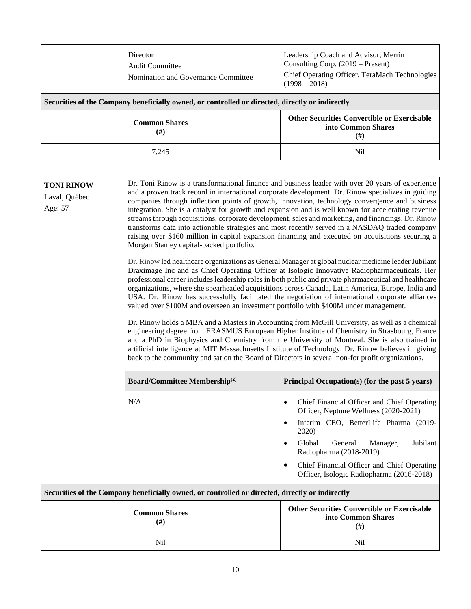|                                                                                                 | Director<br>Audit Committee<br>Nomination and Governance Committee | Leadership Coach and Advisor, Merrin<br>Consulting Corp. $(2019 -$ Present)<br>Chief Operating Officer, TeraMach Technologies<br>$(1998 - 2018)$ |  |  |  |
|-------------------------------------------------------------------------------------------------|--------------------------------------------------------------------|--------------------------------------------------------------------------------------------------------------------------------------------------|--|--|--|
| Securities of the Company beneficially owned, or controlled or directed, directly or indirectly |                                                                    |                                                                                                                                                  |  |  |  |
| <b>Common Shares</b><br>$(\#)$                                                                  |                                                                    | <b>Other Securities Convertible or Exercisable</b><br>into Common Shares<br>(#)                                                                  |  |  |  |
|                                                                                                 | 7.245                                                              | Nil                                                                                                                                              |  |  |  |

| <b>TONI RINOW</b><br>Laval, Québec<br>Age: 57 | Dr. Toni Rinow is a transformational finance and business leader with over 20 years of experience<br>and a proven track record in international corporate development. Dr. Rinow specializes in guiding<br>companies through inflection points of growth, innovation, technology convergence and business<br>integration. She is a catalyst for growth and expansion and is well known for accelerating revenue<br>streams through acquisitions, corporate development, sales and marketing, and financings. Dr. Rinow<br>transforms data into actionable strategies and most recently served in a NASDAQ traded company<br>raising over \$160 million in capital expansion financing and executed on acquisitions securing a<br>Morgan Stanley capital-backed portfolio.                                                                                                                                                                                                                                                                                                                                                       |                                                                                                                                                                               |  |  |  |  |  |
|-----------------------------------------------|---------------------------------------------------------------------------------------------------------------------------------------------------------------------------------------------------------------------------------------------------------------------------------------------------------------------------------------------------------------------------------------------------------------------------------------------------------------------------------------------------------------------------------------------------------------------------------------------------------------------------------------------------------------------------------------------------------------------------------------------------------------------------------------------------------------------------------------------------------------------------------------------------------------------------------------------------------------------------------------------------------------------------------------------------------------------------------------------------------------------------------|-------------------------------------------------------------------------------------------------------------------------------------------------------------------------------|--|--|--|--|--|
|                                               | Dr. Rinow led healthcare organizations as General Manager at global nuclear medicine leader Jubilant<br>Draximage Inc and as Chief Operating Officer at Isologic Innovative Radiopharmaceuticals. Her<br>professional career includes leadership roles in both public and private pharmaceutical and healthcare<br>organizations, where she spearheaded acquisitions across Canada, Latin America, Europe, India and<br>USA. Dr. Rinow has successfully facilitated the negotiation of international corporate alliances<br>valued over \$100M and overseen an investment portfolio with \$400M under management.<br>Dr. Rinow holds a MBA and a Masters in Accounting from McGill University, as well as a chemical<br>engineering degree from ERASMUS European Higher Institute of Chemistry in Strasbourg, France<br>and a PhD in Biophysics and Chemistry from the University of Montreal. She is also trained in<br>artificial intelligence at MIT Massachusetts Institute of Technology. Dr. Rinow believes in giving<br>back to the community and sat on the Board of Directors in several non-for profit organizations. |                                                                                                                                                                               |  |  |  |  |  |
|                                               | Board/Committee Membership <sup>(2)</sup><br>Principal Occupation(s) (for the past 5 years)                                                                                                                                                                                                                                                                                                                                                                                                                                                                                                                                                                                                                                                                                                                                                                                                                                                                                                                                                                                                                                     |                                                                                                                                                                               |  |  |  |  |  |
|                                               | N/A                                                                                                                                                                                                                                                                                                                                                                                                                                                                                                                                                                                                                                                                                                                                                                                                                                                                                                                                                                                                                                                                                                                             | Chief Financial Officer and Chief Operating<br>$\bullet$<br>Officer, Neptune Wellness (2020-2021)<br>Interim CEO, BetterLife Pharma (2019-<br>2020)                           |  |  |  |  |  |
|                                               |                                                                                                                                                                                                                                                                                                                                                                                                                                                                                                                                                                                                                                                                                                                                                                                                                                                                                                                                                                                                                                                                                                                                 | Global<br>General<br>Jubilant<br>Manager,<br>Radiopharma (2018-2019)<br>Chief Financial Officer and Chief Operating<br>$\bullet$<br>Officer, Isologic Radiopharma (2016-2018) |  |  |  |  |  |
|                                               | Securities of the Company beneficially owned, or controlled or directed, directly or indirectly                                                                                                                                                                                                                                                                                                                                                                                                                                                                                                                                                                                                                                                                                                                                                                                                                                                                                                                                                                                                                                 |                                                                                                                                                                               |  |  |  |  |  |
|                                               | <b>Common Shares</b><br>$(\#)$                                                                                                                                                                                                                                                                                                                                                                                                                                                                                                                                                                                                                                                                                                                                                                                                                                                                                                                                                                                                                                                                                                  | <b>Other Securities Convertible or Exercisable</b><br>into Common Shares<br>$(\#)$                                                                                            |  |  |  |  |  |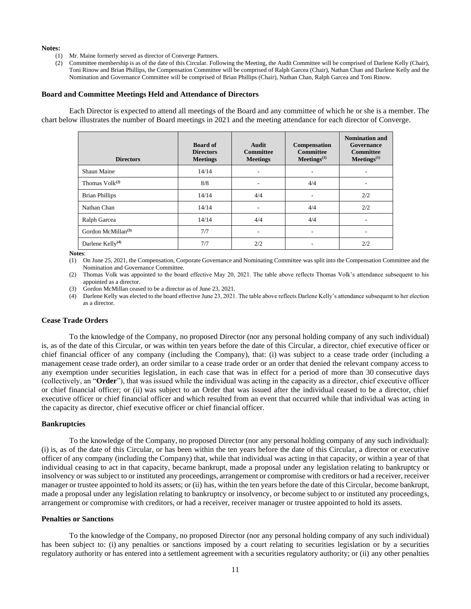#### **Notes:**

- (1) Mr. Maine formerly served as director of Converge Partners.
- (2) Committee membership is as of the date of this Circular. Following the Meeting, the Audit Committee will be comprised of Darlene Kelly (Chair), Toni Rinow and Brian Phillips, the Compensation Committee will be comprised of Ralph Garcea (Chair), Nathan Chan and Darlene Kelly and the Nomination and Governance Committee will be comprised of Brian Phillips (Chair), Nathan Chan, Ralph Garcea and Toni Rinow.

#### **Board and Committee Meetings Held and Attendance of Directors**

Each Director is expected to attend all meetings of the Board and any committee of which he or she is a member. The chart below illustrates the number of Board meetings in 2021 and the meeting attendance for each director of Converge.

| <b>Directors</b>               | <b>Board of</b><br><b>Directors</b><br><b>Meetings</b> | Audit<br><b>Committee</b><br><b>Meetings</b> | Compensation<br><b>Committee</b><br>Meetings <sup>(1)</sup> | <b>Nomination and</b><br>Governance<br><b>Committee</b><br>Meetings <sup>(1)</sup> |
|--------------------------------|--------------------------------------------------------|----------------------------------------------|-------------------------------------------------------------|------------------------------------------------------------------------------------|
| Shaun Maine                    | 14/14                                                  |                                              | ۰                                                           |                                                                                    |
| Thomas $Volk^{(2)}$            | 8/8                                                    |                                              | 4/4                                                         |                                                                                    |
| <b>Brian Phillips</b>          | 14/14                                                  | 4/4                                          | ٠                                                           | 2/2                                                                                |
| Nathan Chan                    | 14/14                                                  |                                              | 4/4                                                         | 2/2                                                                                |
| Ralph Garcea                   | 14/14                                                  | 4/4                                          | 4/4                                                         |                                                                                    |
| Gordon McMillan <sup>(3)</sup> | 7/7                                                    |                                              | ۰                                                           |                                                                                    |
| Darlene Kelly <sup>(4)</sup>   | 7/7                                                    | 2/2                                          |                                                             | 2/2                                                                                |

**Notes**:

(1) On June 25, 2021, the Compensation, Corporate Governance and Nominating Committee was split into the Compensation Committee and the Nomination and Governance Committee.

(2) Thomas Volk was appointed to the board effective May 20, 2021. The table above reflects Thomas Volk's attendance subsequent to his appointed as a director.

(3) Gordon McMillan ceased to be a director as of June 23, 2021.

(4) Darlene Kelly was elected to the board effective June 23, 2021. The table above reflects Darlene Kelly's attendance subsequent to her election as a director.

#### **Cease Trade Orders**

To the knowledge of the Company, no proposed Director (nor any personal holding company of any such individual) is, as of the date of this Circular, or was within ten years before the date of this Circular, a director, chief executive officer or chief financial officer of any company (including the Company), that: (i) was subject to a cease trade order (including a management cease trade order), an order similar to a cease trade order or an order that denied the relevant company access to any exemption under securities legislation, in each case that was in effect for a period of more than 30 consecutive days (collectively, an "**Order**"), that was issued while the individual was acting in the capacity as a director, chief executive officer or chief financial officer; or (ii) was subject to an Order that was issued after the individual ceased to be a director, chief executive officer or chief financial officer and which resulted from an event that occurred while that individual was acting in the capacity as director, chief executive officer or chief financial officer.

#### **Bankruptcies**

To the knowledge of the Company, no proposed Director (nor any personal holding company of any such individual): (i) is, as of the date of this Circular, or has been within the ten years before the date of this Circular, a director or executive officer of any company (including the Company) that, while that individual was acting in that capacity, or within a year of that individual ceasing to act in that capacity, became bankrupt, made a proposal under any legislation relating to bankruptcy or insolvency or was subject to or instituted any proceedings, arrangement or compromise with creditors or had a receiver, receiver manager or trustee appointed to hold its assets; or (ii) has, within the ten years before the date of this Circular, become bankrupt, made a proposal under any legislation relating to bankruptcy or insolvency, or become subject to or instituted any proceedings, arrangement or compromise with creditors, or had a receiver, receiver manager or trustee appointed to hold its assets.

#### **Penalties or Sanctions**

To the knowledge of the Company, no proposed Director (nor any personal holding company of any such individual) has been subject to: (i) any penalties or sanctions imposed by a court relating to securities legislation or by a securities regulatory authority or has entered into a settlement agreement with a securities regulatory authority; or (ii) any other penalties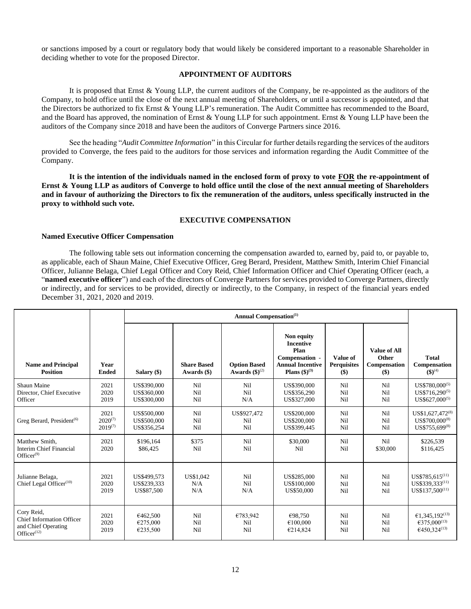or sanctions imposed by a court or regulatory body that would likely be considered important to a reasonable Shareholder in deciding whether to vote for the proposed Director.

# **APPOINTMENT OF AUDITORS**

<span id="page-14-0"></span>It is proposed that Ernst & Young LLP, the current auditors of the Company, be re-appointed as the auditors of the Company, to hold office until the close of the next annual meeting of Shareholders, or until a successor is appointed, and that the Directors be authorized to fix Ernst & Young LLP's remuneration. The Audit Committee has recommended to the Board, and the Board has approved, the nomination of Ernst & Young LLP for such appointment. Ernst & Young LLP have been the auditors of the Company since 2018 and have been the auditors of Converge Partners since 2016.

See the heading "*Audit Committee Information*" in this Circular for further details regarding the services of the auditors provided to Converge, the fees paid to the auditors for those services and information regarding the Audit Committee of the Company.

**It is the intention of the individuals named in the enclosed form of proxy to vote FOR the re-appointment of Ernst & Young LLP as auditors of Converge to hold office until the close of the next annual meeting of Shareholders and in favour of authorizing the Directors to fix the remuneration of the auditors, unless specifically instructed in the proxy to withhold such vote.** 

## **EXECUTIVE COMPENSATION**

#### <span id="page-14-1"></span>**Named Executive Officer Compensation**

The following table sets out information concerning the compensation awarded to, earned by, paid to, or payable to, as applicable, each of Shaun Maine, Chief Executive Officer, Greg Berard, President, Matthew Smith, Interim Chief Financial Officer, Julianne Belaga, Chief Legal Officer and Cory Reid, Chief Information Officer and Chief Operating Officer (each, a "**named executive officer**") and each of the directors of Converge Partners for services provided to Converge Partners, directly or indirectly, and for services to be provided, directly or indirectly, to the Company, in respect of the financial years ended December 31, 2021, 2020 and 2019.

|                                                                                                     |                                      | <b>Annual Compensation</b> <sup>(1)</sup> |                                   |                                                     |                                                                                                                  |                                         |                                                       |                                                                                          |
|-----------------------------------------------------------------------------------------------------|--------------------------------------|-------------------------------------------|-----------------------------------|-----------------------------------------------------|------------------------------------------------------------------------------------------------------------------|-----------------------------------------|-------------------------------------------------------|------------------------------------------------------------------------------------------|
| <b>Name and Principal</b><br><b>Position</b>                                                        | Year<br><b>Ended</b>                 | Salary (\$)                               | <b>Share Based</b><br>Awards (\$) | <b>Option Based</b><br>Awards $(\textbf{\$})^{(2)}$ | Non equity<br><b>Incentive</b><br>Plan<br>Compensation -<br><b>Annual Incentive</b><br><b>Plans</b> $(\$)^{(3)}$ | Value of<br><b>Perquisites</b><br>$($)$ | <b>Value of All</b><br>Other<br>Compensation<br>$($)$ | <b>Total</b><br>Compensation<br>$(5)^{(4)}$                                              |
| Shaun Maine<br>Director, Chief Executive<br>Officer                                                 | 2021<br>2020<br>2019                 | US\$390,000<br>US\$360,000<br>US\$300,000 | Nil<br>Nil<br>Ni1                 | Nil<br>Nil<br>N/A                                   | US\$390,000<br>US\$356,290<br>US\$327,000                                                                        | Nil<br>Nil<br>Nil                       | Nil<br>Nil<br>Nil                                     | $US$780,000^{(5)}$<br>$US$716.290^{(5)}$<br>$US$627,000^{(5)}$                           |
| Greg Berard, President <sup>(6)</sup>                                                               | 2021<br>$2020^{(7)}$<br>$2019^{(7)}$ | US\$500,000<br>US\$500,000<br>US\$356,254 | Nil<br>Nil<br>Nil                 | US\$927,472<br>Nil<br>Nil                           | US\$200,000<br>US\$200,000<br>US\$399.445                                                                        | Nil<br>Nil<br>Nil                       | Nil<br>Nil<br>Nil                                     | US\$1,627,472 <sup>(8)</sup><br>US\$700,000 <sup>(8)</sup><br>US\$755,699 <sup>(8)</sup> |
| Matthew Smith.<br>Interim Chief Financial<br>$Officer^{(9)}$                                        | 2021<br>2020                         | \$196.164<br>\$86,425                     | \$375<br>Nil                      | Nil<br>Nil                                          | \$30,000<br>Nil                                                                                                  | Nil<br>Nil                              | Ni1<br>\$30,000                                       | \$226,539<br>\$116,425                                                                   |
| Julianne Belaga,<br>Chief Legal Officer $(10)$                                                      | 2021<br>2020<br>2019                 | US\$499,573<br>US\$239,333<br>US\$87,500  | US\$1,042<br>N/A<br>N/A           | Nil<br>Nil<br>N/A                                   | US\$285,000<br>US\$100,000<br>US\$50,000                                                                         | Nil<br>Nil<br>Nil                       | Nil<br>Nil<br>Nil                                     | $US$785,615^{(11)}$<br>US\$339,333(11)<br>$US$137.500^{(11)}$                            |
| Cory Reid,<br><b>Chief Information Officer</b><br>and Chief Operating<br>Office $r$ <sup>(12)</sup> | 2021<br>2020<br>2019                 | €462,500<br>€275,000<br>€235,500          | Nil<br>Nil<br>Nil                 | €783,942<br>Nil<br>Nil                              | €98,750<br>€100,000<br>€214,824                                                                                  | Nil<br>Nil<br>Nil                       | Nil<br>Nil<br>Nil                                     | €1,345,192 <sup>(13)</sup><br>€375,000 <sup>(13)</sup><br>€450,324 <sup>(13)</sup>       |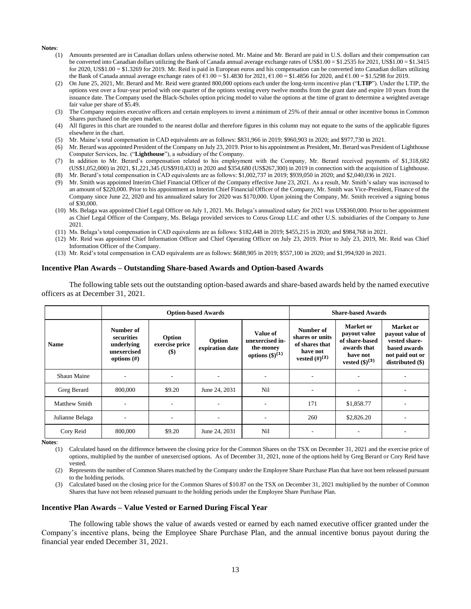#### **Notes**:

- (1) Amounts presented are in Canadian dollars unless otherwise noted. Mr. Maine and Mr. Berard are paid in U.S. dollars and their compensation can be converted into Canadian dollars utilizing the Bank of Canada annual average exchange rates of US\$1.00 = \$1.2535 for 2021, US\$1.00 = \$1.3415 for 2020, US\$1.00 = \$1.3269 for 2019. Mr. Reid is paid in European euros and his compensation can be converted into Canadian dollars utilizing the Bank of Canada annual average exchange rates of €1.00 = \$1.4830 for 2021, €1.00 = \$1.4856 for 2020, and €1.00 = \$1.5298 for 2019.
- (2) On June 25, 2021, Mr. Berard and Mr. Reid were granted 800,000 options each under the long-term incentive plan ("**LTIP**"). Under the LTIP, the options vest over a four-year period with one quarter of the options vesting every twelve months from the grant date and expire 10 years from the issuance date. The Company used the Black-Scholes option pricing model to value the options at the time of grant to determine a weighted average fair value per share of \$5.49.
- (3) The Company requires executive officers and certain employees to invest a minimum of 25% of their annual or other incentive bonus in Common Shares purchased on the open market.
- (4) All figures in this chart are rounded to the nearest dollar and therefore figures in this column may not equate to the sums of the applicable figures elsewhere in the chart.
- (5) Mr. Maine's total compensation in CAD equivalents are as follows: \$831,966 in 2019; \$960,903 in 2020; and \$977,730 in 2021.
- (6) Mr. Berard was appointed President of the Company on July 23, 2019. Prior to his appointment as President, Mr. Berard was President of Lighthouse Computer Services, Inc. ("**Lighthouse**"), a subsidiary of the Company.
- (7) In addition to Mr. Berard's compensation related to his employment with the Company, Mr. Berard received payments of \$1,318,682 (US\$1,052,000) in 2021, \$1,221,345 (US\$910,433) in 2020 and \$354,680 (US\$267,300) in 2019 in connection with the acquisition of Lighthouse.
- (8) Mr. Berard's total compensation in CAD equivalents are as follows: \$1,002,737 in 2019; \$939,050 in 2020; and \$2,040,036 in 2021.
- (9) Mr. Smith was appointed Interim Chief Financial Officer of the Company effective June 23, 2021. As a result, Mr. Smith's salary was increased to an amount of \$220,000. Prior to his appointment as Interim Chief Financial Officer of the Company, Mr. Smith was Vice-President, Finance of the Company since June 22, 2020 and his annualized salary for 2020 was \$170,000. Upon joining the Company, Mr. Smith received a signing bonus of \$30,000.
- (10) Ms. Belaga was appointed Chief Legal Officer on July 1, 2021. Ms. Belaga's annualized salary for 2021 was US\$360,000. Prior to her appointment as Chief Legal Officer of the Company, Ms. Belaga provided services to Corus Group LLC and other U.S. subsidiaries of the Company to June 2021.
- (11) Ms. Belaga's total compensation in CAD equivalents are as follows: \$182,448 in 2019; \$455,215 in 2020; and \$984,768 in 2021.
- (12) Mr. Reid was appointed Chief Information Officer and Chief Operating Officer on July 23, 2019. Prior to July 23, 2019, Mr. Reid was Chief Information Officer of the Company.
- (13) Mr. Reid's total compensation in CAD equivalents are as follows: \$688,905 in 2019; \$557,100 in 2020; and \$1,994,920 in 2021.

#### **Incentive Plan Awards – Outstanding Share-based Awards and Option-based Awards**

The following table sets out the outstanding option-based awards and share-based awards held by the named executive officers as at December 31, 2021.

|                      | <b>Option-based Awards</b>                                             |                                   |                           |                                                                           |                                                                                   | <b>Share-based Awards</b>                                                                                   |                                                                                                      |
|----------------------|------------------------------------------------------------------------|-----------------------------------|---------------------------|---------------------------------------------------------------------------|-----------------------------------------------------------------------------------|-------------------------------------------------------------------------------------------------------------|------------------------------------------------------------------------------------------------------|
| <b>Name</b>          | Number of<br>securities<br>underlying<br>unexercised<br>options $(\#)$ | Option<br>exercise price<br>$($)$ | Option<br>expiration date | Value of<br>unexercised in-<br>the-money<br>options $(\frac{6}{3})^{(1)}$ | Number of<br>shares or units<br>of shares that<br>have not<br>vested $(\#)^{(2)}$ | <b>Market</b> or<br>payout value<br>of share-based<br>awards that<br>have not<br>vested $(\text{\$})^{(3)}$ | Market or<br>payout value of<br>vested share-<br>based awards<br>not paid out or<br>distributed (\$) |
| <b>Shaun Maine</b>   |                                                                        |                                   |                           |                                                                           |                                                                                   |                                                                                                             |                                                                                                      |
| Greg Berard          | 800,000                                                                | \$9.20                            | June 24, 2031             | Nil                                                                       |                                                                                   |                                                                                                             |                                                                                                      |
| <b>Matthew Smith</b> |                                                                        |                                   |                           |                                                                           | 171                                                                               | \$1,858.77                                                                                                  |                                                                                                      |
| Julianne Belaga      |                                                                        |                                   |                           |                                                                           | 260                                                                               | \$2,826.20                                                                                                  |                                                                                                      |
| Cory Reid            | 800,000                                                                | \$9.20                            | June 24, 2031             | Nil                                                                       |                                                                                   |                                                                                                             |                                                                                                      |

**Notes**:

(1) Calculated based on the difference between the closing price for the Common Shares on the TSX on December 31, 2021 and the exercise price of options, multiplied by the number of unexercised options. As of December 31, 2021, none of the options held by Greg Berard or Cory Reid have vested.

(2) Represents the number of Common Shares matched by the Company under the Employee Share Purchase Plan that have not been released pursuant to the holding periods.

(3) Calculated based on the closing price for the Common Shares of \$10.87 on the TSX on December 31, 2021 multiplied by the number of Common Shares that have not been released pursuant to the holding periods under the Employee Share Purchase Plan.

#### **Incentive Plan Awards – Value Vested or Earned During Fiscal Year**

The following table shows the value of awards vested or earned by each named executive officer granted under the Company's incentive plans, being the Employee Share Purchase Plan, and the annual incentive bonus payout during the financial year ended December 31, 2021.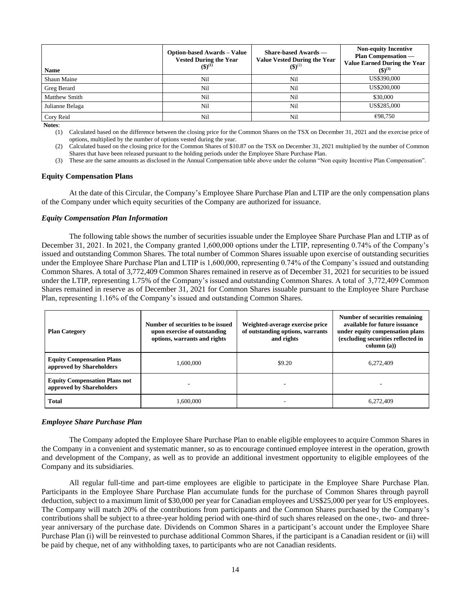| Name                 | <b>Option-based Awards – Value</b><br><b>Vested During the Year</b><br>$(3)^{(1)}$ | Share-based Awards —<br><b>Value Vested During the Year</b><br>$($ \$) <sup>(2)</sup> | <b>Non-equity Incentive</b><br><b>Plan Compensation</b> —<br><b>Value Earned During the Year</b><br>$({\bf 3})^{(3)}$ |
|----------------------|------------------------------------------------------------------------------------|---------------------------------------------------------------------------------------|-----------------------------------------------------------------------------------------------------------------------|
| <b>Shaun Maine</b>   | Nil                                                                                | Nil                                                                                   | US\$390,000                                                                                                           |
| Greg Berard          | Nil                                                                                | Nil                                                                                   | US\$200,000                                                                                                           |
| <b>Matthew Smith</b> | Nil                                                                                | Nil                                                                                   | \$30,000                                                                                                              |
| Julianne Belaga      | Nil                                                                                | Nil                                                                                   | US\$285,000                                                                                                           |
| Cory Reid            | Nil                                                                                | Nil                                                                                   | €98,750                                                                                                               |

**Notes**:

(1) Calculated based on the difference between the closing price for the Common Shares on the TSX on December 31, 2021 and the exercise price of options, multiplied by the number of options vested during the year.

(2) Calculated based on the closing price for the Common Shares of \$10.87 on the TSX on December 31, 2021 multiplied by the number of Common Shares that have been released pursuant to the holding periods under the Employee Share Purchase Plan.

(3) These are the same amounts as disclosed in the Annual Compensation table above under the column "Non equity Incentive Plan Compensation".

#### **Equity Compensation Plans**

At the date of this Circular, the Company's Employee Share Purchase Plan and LTIP are the only compensation plans of the Company under which equity securities of the Company are authorized for issuance.

## *Equity Compensation Plan Information*

The following table shows the number of securities issuable under the Employee Share Purchase Plan and LTIP as of December 31, 2021. In 2021, the Company granted 1,600,000 options under the LTIP, representing 0.74% of the Company's issued and outstanding Common Shares. The total number of Common Shares issuable upon exercise of outstanding securities under the Employee Share Purchase Plan and LTIP is 1,600,000, representing 0.74% of the Company's issued and outstanding Common Shares. A total of 3,772,409 Common Shares remained in reserve as of December 31, 2021 for securities to be issued under the LTIP, representing 1.75% of the Company's issued and outstanding Common Shares. A total of 3,772,409 Common Shares remained in reserve as of December 31, 2021 for Common Shares issuable pursuant to the Employee Share Purchase Plan, representing 1.16% of the Company's issued and outstanding Common Shares.

| <b>Plan Category</b>                                             | Number of securities to be issued<br>upon exercise of outstanding<br>options, warrants and rights | Weighted-average exercise price<br>of outstanding options, warrants<br>and rights | Number of securities remaining<br>available for future issuance<br>under equity compensation plans<br>(excluding securities reflected in<br>column (a)) |
|------------------------------------------------------------------|---------------------------------------------------------------------------------------------------|-----------------------------------------------------------------------------------|---------------------------------------------------------------------------------------------------------------------------------------------------------|
| <b>Equity Compensation Plans</b><br>approved by Shareholders     | 1,600,000                                                                                         | \$9.20                                                                            | 6,272,409                                                                                                                                               |
| <b>Equity Compensation Plans not</b><br>approved by Shareholders |                                                                                                   |                                                                                   |                                                                                                                                                         |
| <b>Total</b>                                                     | 1.600.000                                                                                         |                                                                                   | 6.272,409                                                                                                                                               |

#### *Employee Share Purchase Plan*

The Company adopted the Employee Share Purchase Plan to enable eligible employees to acquire Common Shares in the Company in a convenient and systematic manner, so as to encourage continued employee interest in the operation, growth and development of the Company, as well as to provide an additional investment opportunity to eligible employees of the Company and its subsidiaries.

All regular full-time and part-time employees are eligible to participate in the Employee Share Purchase Plan. Participants in the Employee Share Purchase Plan accumulate funds for the purchase of Common Shares through payroll deduction, subject to a maximum limit of \$30,000 per year for Canadian employees and US\$25,000 per year for US employees. The Company will match 20% of the contributions from participants and the Common Shares purchased by the Company's contributions shall be subject to a three-year holding period with one-third of such shares released on the one-, two- and threeyear anniversary of the purchase date. Dividends on Common Shares in a participant's account under the Employee Share Purchase Plan (i) will be reinvested to purchase additional Common Shares, if the participant is a Canadian resident or (ii) will be paid by cheque, net of any withholding taxes, to participants who are not Canadian residents.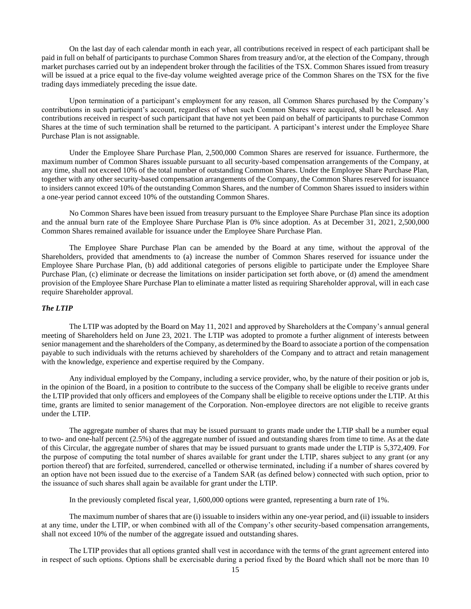On the last day of each calendar month in each year, all contributions received in respect of each participant shall be paid in full on behalf of participants to purchase Common Shares from treasury and/or, at the election of the Company, through market purchases carried out by an independent broker through the facilities of the TSX. Common Shares issued from treasury will be issued at a price equal to the five-day volume weighted average price of the Common Shares on the TSX for the five trading days immediately preceding the issue date.

Upon termination of a participant's employment for any reason, all Common Shares purchased by the Company's contributions in such participant's account, regardless of when such Common Shares were acquired, shall be released. Any contributions received in respect of such participant that have not yet been paid on behalf of participants to purchase Common Shares at the time of such termination shall be returned to the participant. A participant's interest under the Employee Share Purchase Plan is not assignable.

Under the Employee Share Purchase Plan, 2,500,000 Common Shares are reserved for issuance. Furthermore, the maximum number of Common Shares issuable pursuant to all security-based compensation arrangements of the Company, at any time, shall not exceed 10% of the total number of outstanding Common Shares. Under the Employee Share Purchase Plan, together with any other security-based compensation arrangements of the Company, the Common Shares reserved for issuance to insiders cannot exceed 10% of the outstanding Common Shares, and the number of Common Shares issued to insiders within a one-year period cannot exceed 10% of the outstanding Common Shares.

No Common Shares have been issued from treasury pursuant to the Employee Share Purchase Plan since its adoption and the annual burn rate of the Employee Share Purchase Plan is 0% since adoption. As at December 31, 2021, 2,500,000 Common Shares remained available for issuance under the Employee Share Purchase Plan.

The Employee Share Purchase Plan can be amended by the Board at any time, without the approval of the Shareholders, provided that amendments to (a) increase the number of Common Shares reserved for issuance under the Employee Share Purchase Plan, (b) add additional categories of persons eligible to participate under the Employee Share Purchase Plan, (c) eliminate or decrease the limitations on insider participation set forth above, or (d) amend the amendment provision of the Employee Share Purchase Plan to eliminate a matter listed as requiring Shareholder approval, will in each case require Shareholder approval.

## *The LTIP*

The LTIP was adopted by the Board on May 11, 2021 and approved by Shareholders at the Company's annual general meeting of Shareholders held on June 23, 2021. The LTIP was adopted to promote a further alignment of interests between senior management and the shareholders of the Company, as determined by the Board to associate a portion of the compensation payable to such individuals with the returns achieved by shareholders of the Company and to attract and retain management with the knowledge, experience and expertise required by the Company.

Any individual employed by the Company, including a service provider, who, by the nature of their position or job is, in the opinion of the Board, in a position to contribute to the success of the Company shall be eligible to receive grants under the LTIP provided that only officers and employees of the Company shall be eligible to receive options under the LTIP. At this time, grants are limited to senior management of the Corporation. Non-employee directors are not eligible to receive grants under the LTIP.

The aggregate number of shares that may be issued pursuant to grants made under the LTIP shall be a number equal to two- and one-half percent (2.5%) of the aggregate number of issued and outstanding shares from time to time. As at the date of this Circular, the aggregate number of shares that may be issued pursuant to grants made under the LTIP is 5,372,409. For the purpose of computing the total number of shares available for grant under the LTIP, shares subject to any grant (or any portion thereof) that are forfeited, surrendered, cancelled or otherwise terminated, including if a number of shares covered by an option have not been issued due to the exercise of a Tandem SAR (as defined below) connected with such option, prior to the issuance of such shares shall again be available for grant under the LTIP.

In the previously completed fiscal year, 1,600,000 options were granted, representing a burn rate of 1%.

The maximum number of shares that are (i) issuable to insiders within any one-year period, and (ii) issuable to insiders at any time, under the LTIP, or when combined with all of the Company's other security-based compensation arrangements, shall not exceed 10% of the number of the aggregate issued and outstanding shares.

The LTIP provides that all options granted shall vest in accordance with the terms of the grant agreement entered into in respect of such options. Options shall be exercisable during a period fixed by the Board which shall not be more than 10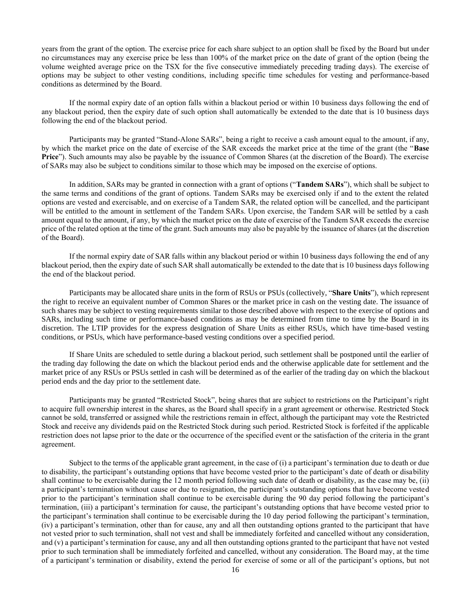years from the grant of the option. The exercise price for each share subject to an option shall be fixed by the Board but under no circumstances may any exercise price be less than 100% of the market price on the date of grant of the option (being the volume weighted average price on the TSX for the five consecutive immediately preceding trading days). The exercise of options may be subject to other vesting conditions, including specific time schedules for vesting and performance-based conditions as determined by the Board.

If the normal expiry date of an option falls within a blackout period or within 10 business days following the end of any blackout period, then the expiry date of such option shall automatically be extended to the date that is 10 business days following the end of the blackout period.

Participants may be granted "Stand-Alone SARs", being a right to receive a cash amount equal to the amount, if any, by which the market price on the date of exercise of the SAR exceeds the market price at the time of the grant (the "**Base Price**"). Such amounts may also be payable by the issuance of Common Shares (at the discretion of the Board). The exercise of SARs may also be subject to conditions similar to those which may be imposed on the exercise of options.

In addition, SARs may be granted in connection with a grant of options ("**Tandem SARs**"), which shall be subject to the same terms and conditions of the grant of options. Tandem SARs may be exercised only if and to the extent the related options are vested and exercisable, and on exercise of a Tandem SAR, the related option will be cancelled, and the participant will be entitled to the amount in settlement of the Tandem SARs. Upon exercise, the Tandem SAR will be settled by a cash amount equal to the amount, if any, by which the market price on the date of exercise of the Tandem SAR exceeds the exercise price of the related option at the time of the grant. Such amounts may also be payable by the issuance of shares (at the discretion of the Board).

If the normal expiry date of SAR falls within any blackout period or within 10 business days following the end of any blackout period, then the expiry date of such SAR shall automatically be extended to the date that is 10 business days following the end of the blackout period.

Participants may be allocated share units in the form of RSUs or PSUs (collectively, "**Share Units**"), which represent the right to receive an equivalent number of Common Shares or the market price in cash on the vesting date. The issuance of such shares may be subject to vesting requirements similar to those described above with respect to the exercise of options and SARs, including such time or performance-based conditions as may be determined from time to time by the Board in its discretion. The LTIP provides for the express designation of Share Units as either RSUs, which have time-based vesting conditions, or PSUs, which have performance-based vesting conditions over a specified period.

If Share Units are scheduled to settle during a blackout period, such settlement shall be postponed until the earlier of the trading day following the date on which the blackout period ends and the otherwise applicable date for settlement and the market price of any RSUs or PSUs settled in cash will be determined as of the earlier of the trading day on which the blackout period ends and the day prior to the settlement date.

Participants may be granted "Restricted Stock", being shares that are subject to restrictions on the Participant's right to acquire full ownership interest in the shares, as the Board shall specify in a grant agreement or otherwise. Restricted Stock cannot be sold, transferred or assigned while the restrictions remain in effect, although the participant may vote the Restricted Stock and receive any dividends paid on the Restricted Stock during such period. Restricted Stock is forfeited if the applicable restriction does not lapse prior to the date or the occurrence of the specified event or the satisfaction of the criteria in the grant agreement.

Subject to the terms of the applicable grant agreement, in the case of (i) a participant's termination due to death or due to disability, the participant's outstanding options that have become vested prior to the participant's date of death or disability shall continue to be exercisable during the 12 month period following such date of death or disability, as the case may be, (ii) a participant's termination without cause or due to resignation, the participant's outstanding options that have become vested prior to the participant's termination shall continue to be exercisable during the 90 day period following the participant's termination, (iii) a participant's termination for cause, the participant's outstanding options that have become vested prior to the participant's termination shall continue to be exercisable during the 10 day period following the participant's termination, (iv) a participant's termination, other than for cause, any and all then outstanding options granted to the participant that have not vested prior to such termination, shall not vest and shall be immediately forfeited and cancelled without any consideration, and (v) a participant's termination for cause, any and all then outstanding options granted to the participant that have not vested prior to such termination shall be immediately forfeited and cancelled, without any consideration. The Board may, at the time of a participant's termination or disability, extend the period for exercise of some or all of the participant's options, but not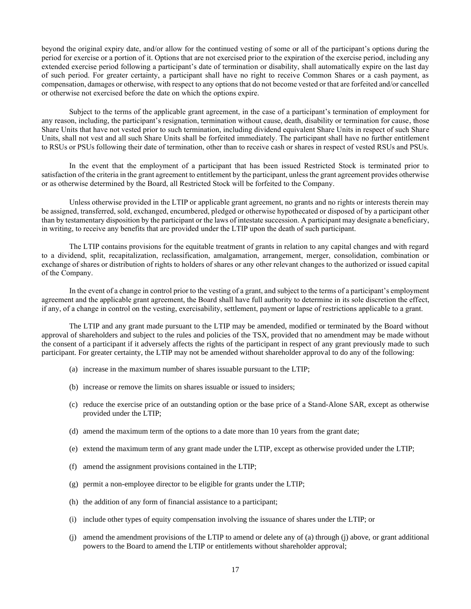beyond the original expiry date, and/or allow for the continued vesting of some or all of the participant's options during the period for exercise or a portion of it. Options that are not exercised prior to the expiration of the exercise period, including any extended exercise period following a participant's date of termination or disability, shall automatically expire on the last day of such period. For greater certainty, a participant shall have no right to receive Common Shares or a cash payment, as compensation, damages or otherwise, with respect to any options that do not become vested or that are forfeited and/or cancelled or otherwise not exercised before the date on which the options expire.

Subject to the terms of the applicable grant agreement, in the case of a participant's termination of employment for any reason, including, the participant's resignation, termination without cause, death, disability or termination for cause, those Share Units that have not vested prior to such termination, including dividend equivalent Share Units in respect of such Share Units, shall not vest and all such Share Units shall be forfeited immediately. The participant shall have no further entitlement to RSUs or PSUs following their date of termination, other than to receive cash or shares in respect of vested RSUs and PSUs.

In the event that the employment of a participant that has been issued Restricted Stock is terminated prior to satisfaction of the criteria in the grant agreement to entitlement by the participant, unless the grant agreement provides otherwise or as otherwise determined by the Board, all Restricted Stock will be forfeited to the Company.

Unless otherwise provided in the LTIP or applicable grant agreement, no grants and no rights or interests therein may be assigned, transferred, sold, exchanged, encumbered, pledged or otherwise hypothecated or disposed of by a participant other than by testamentary disposition by the participant or the laws of intestate succession. A participant may designate a beneficiary, in writing, to receive any benefits that are provided under the LTIP upon the death of such participant.

The LTIP contains provisions for the equitable treatment of grants in relation to any capital changes and with regard to a dividend, split, recapitalization, reclassification, amalgamation, arrangement, merger, consolidation, combination or exchange of shares or distribution of rights to holders of shares or any other relevant changes to the authorized or issued capital of the Company.

In the event of a change in control prior to the vesting of a grant, and subject to the terms of a participant's employment agreement and the applicable grant agreement, the Board shall have full authority to determine in its sole discretion the effect, if any, of a change in control on the vesting, exercisability, settlement, payment or lapse of restrictions applicable to a grant.

The LTIP and any grant made pursuant to the LTIP may be amended, modified or terminated by the Board without approval of shareholders and subject to the rules and policies of the TSX, provided that no amendment may be made without the consent of a participant if it adversely affects the rights of the participant in respect of any grant previously made to such participant. For greater certainty, the LTIP may not be amended without shareholder approval to do any of the following:

- (a) increase in the maximum number of shares issuable pursuant to the LTIP;
- (b) increase or remove the limits on shares issuable or issued to insiders;
- (c) reduce the exercise price of an outstanding option or the base price of a Stand-Alone SAR, except as otherwise provided under the LTIP;
- (d) amend the maximum term of the options to a date more than 10 years from the grant date;
- (e) extend the maximum term of any grant made under the LTIP, except as otherwise provided under the LTIP;
- (f) amend the assignment provisions contained in the LTIP;
- (g) permit a non-employee director to be eligible for grants under the LTIP;
- (h) the addition of any form of financial assistance to a participant;
- (i) include other types of equity compensation involving the issuance of shares under the LTIP; or
- (j) amend the amendment provisions of the LTIP to amend or delete any of (a) through (j) above, or grant additional powers to the Board to amend the LTIP or entitlements without shareholder approval;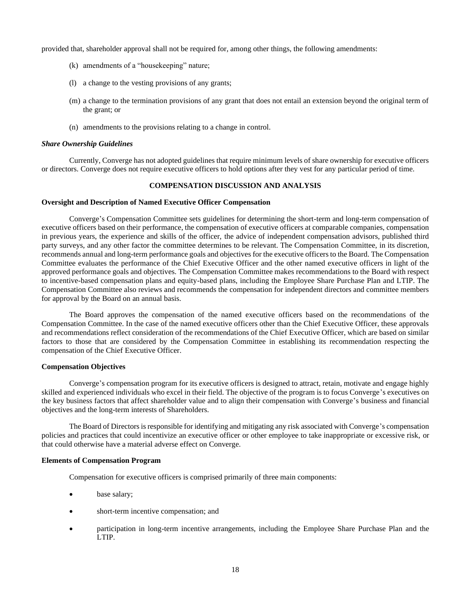provided that, shareholder approval shall not be required for, among other things, the following amendments:

- (k) amendments of a "housekeeping" nature;
- (l) a change to the vesting provisions of any grants;
- (m) a change to the termination provisions of any grant that does not entail an extension beyond the original term of the grant; or
- (n) amendments to the provisions relating to a change in control.

#### *Share Ownership Guidelines*

Currently, Converge has not adopted guidelines that require minimum levels of share ownership for executive officers or directors. Converge does not require executive officers to hold options after they vest for any particular period of time.

## **COMPENSATION DISCUSSION AND ANALYSIS**

## <span id="page-20-0"></span>**Oversight and Description of Named Executive Officer Compensation**

Converge's Compensation Committee sets guidelines for determining the short-term and long-term compensation of executive officers based on their performance, the compensation of executive officers at comparable companies, compensation in previous years, the experience and skills of the officer, the advice of independent compensation advisors, published third party surveys, and any other factor the committee determines to be relevant. The Compensation Committee, in its discretion, recommends annual and long-term performance goals and objectives for the executive officers to the Board. The Compensation Committee evaluates the performance of the Chief Executive Officer and the other named executive officers in light of the approved performance goals and objectives. The Compensation Committee makes recommendations to the Board with respect to incentive-based compensation plans and equity-based plans, including the Employee Share Purchase Plan and LTIP. The Compensation Committee also reviews and recommends the compensation for independent directors and committee members for approval by the Board on an annual basis.

The Board approves the compensation of the named executive officers based on the recommendations of the Compensation Committee. In the case of the named executive officers other than the Chief Executive Officer, these approvals and recommendations reflect consideration of the recommendations of the Chief Executive Officer, which are based on similar factors to those that are considered by the Compensation Committee in establishing its recommendation respecting the compensation of the Chief Executive Officer.

## **Compensation Objectives**

Converge's compensation program for its executive officers is designed to attract, retain, motivate and engage highly skilled and experienced individuals who excel in their field. The objective of the program is to focus Converge's executives on the key business factors that affect shareholder value and to align their compensation with Converge's business and financial objectives and the long-term interests of Shareholders.

The Board of Directors is responsible for identifying and mitigating any risk associated with Converge's compensation policies and practices that could incentivize an executive officer or other employee to take inappropriate or excessive risk, or that could otherwise have a material adverse effect on Converge.

#### **Elements of Compensation Program**

Compensation for executive officers is comprised primarily of three main components:

- base salary;
- short-term incentive compensation; and
- participation in long-term incentive arrangements, including the Employee Share Purchase Plan and the LTIP.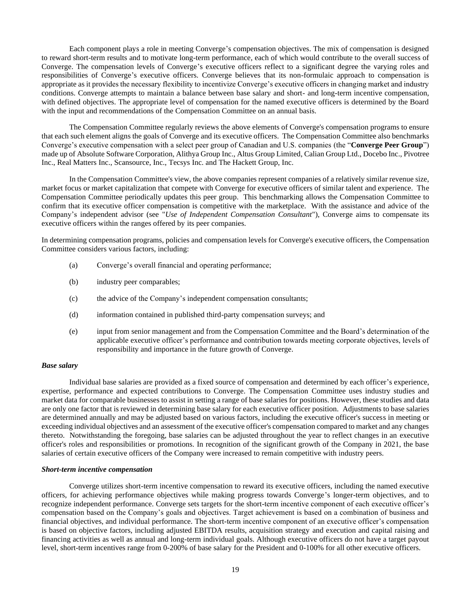Each component plays a role in meeting Converge's compensation objectives. The mix of compensation is designed to reward short-term results and to motivate long-term performance, each of which would contribute to the overall success of Converge. The compensation levels of Converge's executive officers reflect to a significant degree the varying roles and responsibilities of Converge's executive officers. Converge believes that its non-formulaic approach to compensation is appropriate as it provides the necessary flexibility to incentivize Converge's executive officers in changing market and industry conditions. Converge attempts to maintain a balance between base salary and short- and long-term incentive compensation, with defined objectives. The appropriate level of compensation for the named executive officers is determined by the Board with the input and recommendations of the Compensation Committee on an annual basis.

The Compensation Committee regularly reviews the above elements of Converge's compensation programs to ensure that each such element aligns the goals of Converge and its executive officers. The Compensation Committee also benchmarks Converge's executive compensation with a select peer group of Canadian and U.S. companies (the "**Converge Peer Group**") made up of Absolute Software Corporation, Alithya Group Inc., Altus Group Limited, Calian Group Ltd., Docebo Inc., Pivotree Inc., Real Matters Inc., Scansource, Inc., Tecsys Inc. and The Hackett Group, Inc.

In the Compensation Committee's view, the above companies represent companies of a relatively similar revenue size, market focus or market capitalization that compete with Converge for executive officers of similar talent and experience. The Compensation Committee periodically updates this peer group. This benchmarking allows the Compensation Committee to confirm that its executive officer compensation is competitive with the marketplace. With the assistance and advice of the Company's independent advisor (see "*Use of Independent Compensation Consultant*"), Converge aims to compensate its executive officers within the ranges offered by its peer companies.

In determining compensation programs, policies and compensation levels for Converge's executive officers, the Compensation Committee considers various factors, including:

- (a) Converge's overall financial and operating performance;
- (b) industry peer comparables;
- (c) the advice of the Company's independent compensation consultants;
- (d) information contained in published third-party compensation surveys; and
- (e) input from senior management and from the Compensation Committee and the Board's determination of the applicable executive officer's performance and contribution towards meeting corporate objectives, levels of responsibility and importance in the future growth of Converge.

#### *Base salary*

Individual base salaries are provided as a fixed source of compensation and determined by each officer's experience, expertise, performance and expected contributions to Converge. The Compensation Committee uses industry studies and market data for comparable businesses to assist in setting a range of base salaries for positions. However, these studies and data are only one factor that is reviewed in determining base salary for each executive officer position. Adjustments to base salaries are determined annually and may be adjusted based on various factors, including the executive officer's success in meeting or exceeding individual objectives and an assessment of the executive officer's compensation compared to market and any changes thereto. Notwithstanding the foregoing, base salaries can be adjusted throughout the year to reflect changes in an executive officer's roles and responsibilities or promotions. In recognition of the significant growth of the Company in 2021, the base salaries of certain executive officers of the Company were increased to remain competitive with industry peers.

#### *Short-term incentive compensation*

Converge utilizes short-term incentive compensation to reward its executive officers, including the named executive officers, for achieving performance objectives while making progress towards Converge's longer-term objectives, and to recognize independent performance. Converge sets targets for the short-term incentive component of each executive officer's compensation based on the Company's goals and objectives. Target achievement is based on a combination of business and financial objectives, and individual performance. The short-term incentive component of an executive officer's compensation is based on objective factors, including adjusted EBITDA results, acquisition strategy and execution and capital raising and financing activities as well as annual and long-term individual goals. Although executive officers do not have a target payout level, short-term incentives range from 0-200% of base salary for the President and 0-100% for all other executive officers.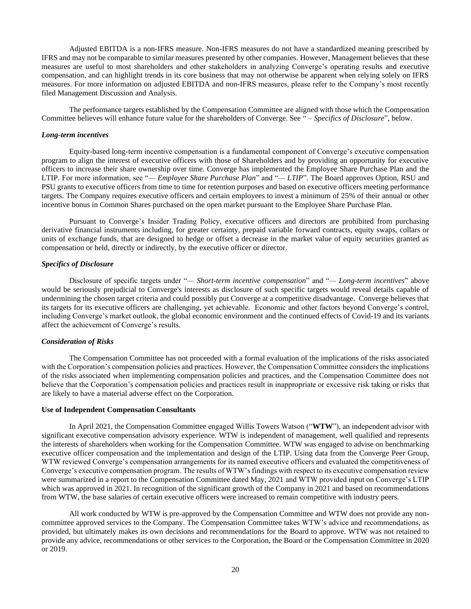Adjusted EBITDA is a non-IFRS measure. Non-IFRS measures do not have a standardized meaning prescribed by IFRS and may not be comparable to similar measures presented by other companies. However, Management believes that these measures are useful to most shareholders and other stakeholders in analyzing Converge's operating results and executive compensation, and can highlight trends in its core business that may not otherwise be apparent when relying solely on IFRS measures. For more information on adjusted EBITDA and non-IFRS measures, please refer to the Company's most recently filed Management Discussion and Analysis.

The performance targets established by the Compensation Committee are aligned with those which the Compensation Committee believes will enhance future value for the shareholders of Converge. See " – *Specifics of Disclosure*", below.

#### *Long-term incentives*

Equity-based long-term incentive compensation is a fundamental component of Converge's executive compensation program to align the interest of executive officers with those of Shareholders and by providing an opportunity for executive officers to increase their share ownership over time. Converge has implemented the Employee Share Purchase Plan and the LTIP. For more information, see "*— Employee Share Purchase Plan*" and "*— LTIP*". The Board approves Option, RSU and PSU grants to executive officers from time to time for retention purposes and based on executive officers meeting performance targets. The Company requires executive officers and certain employees to invest a minimum of 25% of their annual or other incentive bonus in Common Shares purchased on the open market pursuant to the Employee Share Purchase Plan.

Pursuant to Converge's Insider Trading Policy, executive officers and directors are prohibited from purchasing derivative financial instruments including, for greater certainty, prepaid variable forward contracts, equity swaps, collars or units of exchange funds, that are designed to hedge or offset a decrease in the market value of equity securities granted as compensation or held, directly or indirectly, by the executive officer or director.

#### *Specifics of Disclosure*

Disclosure of specific targets under "*— Short-term incentive compensation*" and "*— Long-term incentives*" above would be seriously prejudicial to Converge's interests as disclosure of such specific targets would reveal details capable of undermining the chosen target criteria and could possibly put Converge at a competitive disadvantage. Converge believes that its targets for its executive officers are challenging, yet achievable. Economic and other factors beyond Converge's control, including Converge's market outlook, the global economic environment and the continued effects of Covid-19 and its variants affect the achievement of Converge's results.

## *Consideration of Risks*

The Compensation Committee has not proceeded with a formal evaluation of the implications of the risks associated with the Corporation's compensation policies and practices. However, the Compensation Committee considers the implications of the risks associated when implementing compensation policies and practices, and the Compensation Committee does not believe that the Corporation's compensation policies and practices result in inappropriate or excessive risk taking or risks that are likely to have a material adverse effect on the Corporation.

#### **Use of Independent Compensation Consultants**

In April 2021, the Compensation Committee engaged Willis Towers Watson ("**WTW**"), an independent advisor with significant executive compensation advisory experience. WTW is independent of management, well qualified and represents the interests of shareholders when working for the Compensation Committee. WTW was engaged to advise on benchmarking executive officer compensation and the implementation and design of the LTIP. Using data from the Converge Peer Group, WTW reviewed Converge's compensation arrangements for its named executive officers and evaluated the competitiveness of Converge's executive compensation program. The results of WTW's findings with respect to its executive compensation review were summarized in a report to the Compensation Committee dated May, 2021 and WTW provided input on Converge's LTIP which was approved in 2021. In recognition of the significant growth of the Company in 2021 and based on recommendations from WTW, the base salaries of certain executive officers were increased to remain competitive with industry peers.

All work conducted by WTW is pre-approved by the Compensation Committee and WTW does not provide any noncommittee approved services to the Company. The Compensation Committee takes WTW's advice and recommendations, as provided, but ultimately makes its own decisions and recommendations for the Board to approve. WTW was not retained to provide any advice, recommendations or other services to the Corporation, the Board or the Compensation Committee in 2020 or 2019.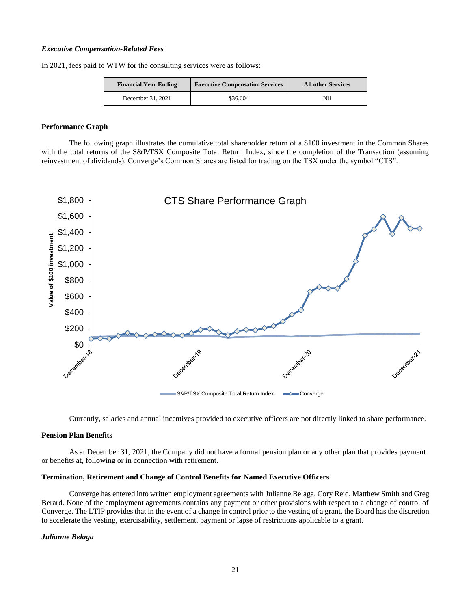#### *Executive Compensation-Related Fees*

In 2021, fees paid to WTW for the consulting services were as follows:

| <b>Executive Compensation Services</b><br><b>Financial Year Ending</b> |          | <b>All other Services</b> |
|------------------------------------------------------------------------|----------|---------------------------|
| December 31, 2021                                                      | \$36,604 | Nil                       |

## **Performance Graph**

The following graph illustrates the cumulative total shareholder return of a \$100 investment in the Common Shares with the total returns of the S&P/TSX Composite Total Return Index, since the completion of the Transaction (assuming reinvestment of dividends). Converge's Common Shares are listed for trading on the TSX under the symbol "CTS".



Currently, salaries and annual incentives provided to executive officers are not directly linked to share performance.

## **Pension Plan Benefits**

As at December 31, 2021, the Company did not have a formal pension plan or any other plan that provides payment or benefits at, following or in connection with retirement.

## **Termination, Retirement and Change of Control Benefits for Named Executive Officers**

Converge has entered into written employment agreements with Julianne Belaga, Cory Reid, Matthew Smith and Greg Berard. None of the employment agreements contains any payment or other provisions with respect to a change of control of Converge. The LTIP provides that in the event of a change in control prior to the vesting of a grant, the Board has the discretion to accelerate the vesting, exercisability, settlement, payment or lapse of restrictions applicable to a grant.

## *Julianne Belaga*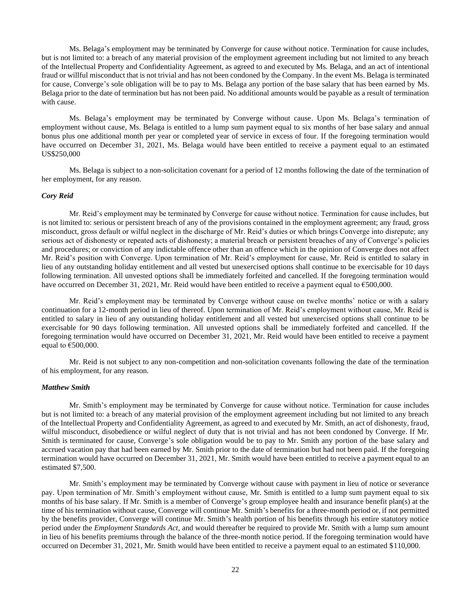Ms. Belaga's employment may be terminated by Converge for cause without notice. Termination for cause includes, but is not limited to: a breach of any material provision of the employment agreement including but not limited to any breach of the Intellectual Property and Confidentiality Agreement, as agreed to and executed by Ms. Belaga, and an act of intentional fraud or willful misconduct that is not trivial and has not been condoned by the Company. In the event Ms. Belaga is terminated for cause, Converge's sole obligation will be to pay to Ms. Belaga any portion of the base salary that has been earned by Ms. Belaga prior to the date of termination but has not been paid. No additional amounts would be payable as a result of termination with cause.

Ms. Belaga's employment may be terminated by Converge without cause. Upon Ms. Belaga's termination of employment without cause, Ms. Belaga is entitled to a lump sum payment equal to six months of her base salary and annual bonus plus one additional month per year or completed year of service in excess of four. If the foregoing termination would have occurred on December 31, 2021, Ms. Belaga would have been entitled to receive a payment equal to an estimated US\$250,000

Ms. Belaga is subject to a non-solicitation covenant for a period of 12 months following the date of the termination of her employment, for any reason.

#### *Cory Reid*

Mr. Reid's employment may be terminated by Converge for cause without notice. Termination for cause includes, but is not limited to: serious or persistent breach of any of the provisions contained in the employment agreement; any fraud, gross misconduct, gross default or wilful neglect in the discharge of Mr. Reid's duties or which brings Converge into disrepute; any serious act of dishonesty or repeated acts of dishonesty; a material breach or persistent breaches of any of Converge's policies and procedures; or conviction of any indictable offence other than an offence which in the opinion of Converge does not affect Mr. Reid's position with Converge. Upon termination of Mr. Reid's employment for cause, Mr. Reid is entitled to salary in lieu of any outstanding holiday entitlement and all vested but unexercised options shall continue to be exercisable for 10 days following termination. All unvested options shall be immediately forfeited and cancelled. If the foregoing termination would have occurred on December 31, 2021, Mr. Reid would have been entitled to receive a payment equal to €500,000.

Mr. Reid's employment may be terminated by Converge without cause on twelve months' notice or with a salary continuation for a 12-month period in lieu of thereof. Upon termination of Mr. Reid's employment without cause, Mr. Reid is entitled to salary in lieu of any outstanding holiday entitlement and all vested but unexercised options shall continue to be exercisable for 90 days following termination. All unvested options shall be immediately forfeited and cancelled. If the foregoing termination would have occurred on December 31, 2021, Mr. Reid would have been entitled to receive a payment equal to  $€500,000$ .

Mr. Reid is not subject to any non-competition and non-solicitation covenants following the date of the termination of his employment, for any reason.

#### *Matthew Smith*

Mr. Smith's employment may be terminated by Converge for cause without notice. Termination for cause includes but is not limited to: a breach of any material provision of the employment agreement including but not limited to any breach of the Intellectual Property and Confidentiality Agreement, as agreed to and executed by Mr. Smith, an act of dishonesty, fraud, wilful misconduct, disobedience or wilful neglect of duty that is not trivial and has not been condoned by Converge. If Mr. Smith is terminated for cause, Converge's sole obligation would be to pay to Mr. Smith any portion of the base salary and accrued vacation pay that had been earned by Mr. Smith prior to the date of termination but had not been paid. If the foregoing termination would have occurred on December 31, 2021, Mr. Smith would have been entitled to receive a payment equal to an estimated \$7,500.

Mr. Smith's employment may be terminated by Converge without cause with payment in lieu of notice or severance pay. Upon termination of Mr. Smith's employment without cause, Mr. Smith is entitled to a lump sum payment equal to six months of his base salary. If Mr. Smith is a member of Converge's group employee health and insurance benefit plan(s) at the time of his termination without cause, Converge will continue Mr. Smith's benefits for a three-month period or, if not permitted by the benefits provider, Converge will continue Mr. Smith's health portion of his benefits through his entire statutory notice period under the *Employment Standards Act*, and would thereafter be required to provide Mr. Smith with a lump sum amount in lieu of his benefits premiums through the balance of the three-month notice period. If the foregoing termination would have occurred on December 31, 2021, Mr. Smith would have been entitled to receive a payment equal to an estimated \$110,000.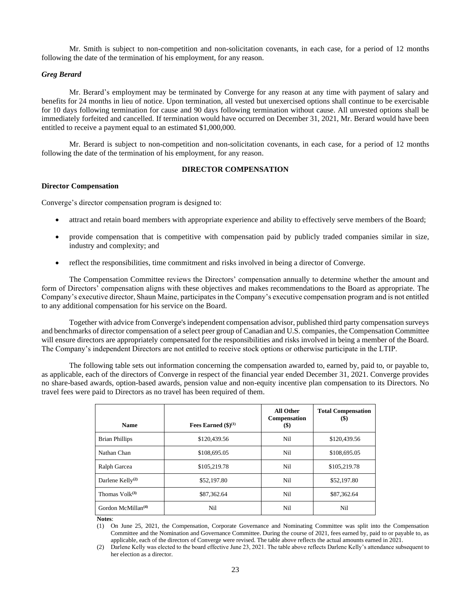Mr. Smith is subject to non-competition and non-solicitation covenants, in each case, for a period of 12 months following the date of the termination of his employment, for any reason.

## *Greg Berard*

Mr. Berard's employment may be terminated by Converge for any reason at any time with payment of salary and benefits for 24 months in lieu of notice. Upon termination, all vested but unexercised options shall continue to be exercisable for 10 days following termination for cause and 90 days following termination without cause. All unvested options shall be immediately forfeited and cancelled. If termination would have occurred on December 31, 2021, Mr. Berard would have been entitled to receive a payment equal to an estimated \$1,000,000.

Mr. Berard is subject to non-competition and non-solicitation covenants, in each case, for a period of 12 months following the date of the termination of his employment, for any reason.

# **DIRECTOR COMPENSATION**

## <span id="page-25-0"></span>**Director Compensation**

Converge's director compensation program is designed to:

- attract and retain board members with appropriate experience and ability to effectively serve members of the Board;
- provide compensation that is competitive with compensation paid by publicly traded companies similar in size, industry and complexity; and
- reflect the responsibilities, time commitment and risks involved in being a director of Converge.

The Compensation Committee reviews the Directors' compensation annually to determine whether the amount and form of Directors' compensation aligns with these objectives and makes recommendations to the Board as appropriate. The Company's executive director, Shaun Maine, participates in the Company's executive compensation program and is not entitled to any additional compensation for his service on the Board.

Together with advice from Converge's independent compensation advisor, published third party compensation surveys and benchmarks of director compensation of a select peer group of Canadian and U.S. companies, the Compensation Committee will ensure directors are appropriately compensated for the responsibilities and risks involved in being a member of the Board. The Company's independent Directors are not entitled to receive stock options or otherwise participate in the LTIP.

The following table sets out information concerning the compensation awarded to, earned by, paid to, or payable to, as applicable, each of the directors of Converge in respect of the financial year ended December 31, 2021. Converge provides no share-based awards, option-based awards, pension value and non-equity incentive plan compensation to its Directors. No travel fees were paid to Directors as no travel has been required of them.

| <b>Name</b>                    | Fees Earned $(\$)^{(1)}$ | All Other<br>Compensation<br>$\left( \mathbb{S}\right)$ | <b>Total Compensation</b><br>$\left( \text{\$}\right)$ |
|--------------------------------|--------------------------|---------------------------------------------------------|--------------------------------------------------------|
| <b>Brian Phillips</b>          | \$120.439.56             | Nil                                                     | \$120,439.56                                           |
| Nathan Chan                    | \$108,695.05             | Nil                                                     | \$108,695.05                                           |
| Ralph Garcea                   | \$105,219.78             | Nil                                                     | \$105,219.78                                           |
| Darlene Kelly <sup>(2)</sup>   | \$52,197.80              | Nil                                                     | \$52,197.80                                            |
| Thomas $Volk^{(3)}$            | \$87,362.64              | Nil                                                     | \$87,362.64                                            |
| Gordon McMillan <sup>(4)</sup> | Ni1                      | Ni1                                                     | Nil                                                    |

**Notes**:

(1) On June 25, 2021, the Compensation, Corporate Governance and Nominating Committee was split into the Compensation Committee and the Nomination and Governance Committee. During the course of 2021, fees earned by, paid to or payable to, as applicable, each of the directors of Converge were revised. The table above reflects the actual amounts earned in 2021.

(2) Darlene Kelly was elected to the board effective June 23, 2021. The table above reflects Darlene Kelly's attendance subsequent to her election as a director.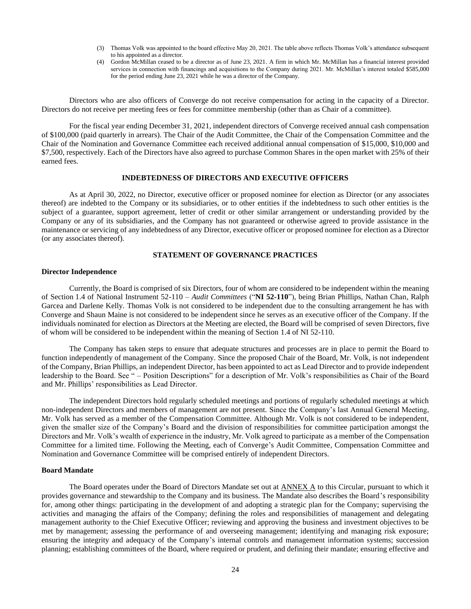- (3) Thomas Volk was appointed to the board effective May 20, 2021. The table above reflects Thomas Volk's attendance subsequent to his appointed as a director.
- (4) Gordon McMillan ceased to be a director as of June 23, 2021. A firm in which Mr. McMillan has a financial interest provided services in connection with financings and acquisitions to the Company during 2021. Mr. McMillan's interest totaled \$585,000 for the period ending June 23, 2021 while he was a director of the Company.

Directors who are also officers of Converge do not receive compensation for acting in the capacity of a Director. Directors do not receive per meeting fees or fees for committee membership (other than as Chair of a committee).

For the fiscal year ending December 31, 2021, independent directors of Converge received annual cash compensation of \$100,000 (paid quarterly in arrears). The Chair of the Audit Committee, the Chair of the Compensation Committee and the Chair of the Nomination and Governance Committee each received additional annual compensation of \$15,000, \$10,000 and \$7,500, respectively. Each of the Directors have also agreed to purchase Common Shares in the open market with 25% of their earned fees.

# **INDEBTEDNESS OF DIRECTORS AND EXECUTIVE OFFICERS**

<span id="page-26-0"></span>As at April 30, 2022, no Director, executive officer or proposed nominee for election as Director (or any associates thereof) are indebted to the Company or its subsidiaries, or to other entities if the indebtedness to such other entities is the subject of a guarantee, support agreement, letter of credit or other similar arrangement or understanding provided by the Company or any of its subsidiaries, and the Company has not guaranteed or otherwise agreed to provide assistance in the maintenance or servicing of any indebtedness of any Director, executive officer or proposed nominee for election as a Director (or any associates thereof).

## **STATEMENT OF GOVERNANCE PRACTICES**

#### <span id="page-26-1"></span>**Director Independence**

Currently, the Board is comprised of six Directors, four of whom are considered to be independent within the meaning of Section 1.4 of National Instrument 52-110 – *Audit Committees* ("**NI 52-110**"), being Brian Phillips, Nathan Chan, Ralph Garcea and Darlene Kelly. Thomas Volk is not considered to be independent due to the consulting arrangement he has with Converge and Shaun Maine is not considered to be independent since he serves as an executive officer of the Company. If the individuals nominated for election as Directors at the Meeting are elected, the Board will be comprised of seven Directors, five of whom will be considered to be independent within the meaning of Section 1.4 of NI 52-110.

The Company has taken steps to ensure that adequate structures and processes are in place to permit the Board to function independently of management of the Company. Since the proposed Chair of the Board, Mr. Volk, is not independent of the Company, Brian Phillips, an independent Director, has been appointed to act as Lead Director and to provide independent leadership to the Board. See " – Position Descriptions" for a description of Mr. Volk's responsibilities as Chair of the Board and Mr. Phillips' responsibilities as Lead Director.

The independent Directors hold regularly scheduled meetings and portions of regularly scheduled meetings at which non-independent Directors and members of management are not present. Since the Company's last Annual General Meeting, Mr. Volk has served as a member of the Compensation Committee. Although Mr. Volk is not considered to be independent, given the smaller size of the Company's Board and the division of responsibilities for committee participation amongst the Directors and Mr. Volk's wealth of experience in the industry, Mr. Volk agreed to participate as a member of the Compensation Committee for a limited time. Following the Meeting, each of Converge's Audit Committee, Compensation Committee and Nomination and Governance Committee will be comprised entirely of independent Directors.

#### **Board Mandate**

The Board operates under the Board of Directors Mandate set out at [ANNEX A](#page-36-0) to this Circular, pursuant to which it provides governance and stewardship to the Company and its business. The Mandate also describes the Board's responsibility for, among other things: participating in the development of and adopting a strategic plan for the Company; supervising the activities and managing the affairs of the Company; defining the roles and responsibilities of management and delegating management authority to the Chief Executive Officer; reviewing and approving the business and investment objectives to be met by management; assessing the performance of and overseeing management; identifying and managing risk exposure; ensuring the integrity and adequacy of the Company's internal controls and management information systems; succession planning; establishing committees of the Board, where required or prudent, and defining their mandate; ensuring effective and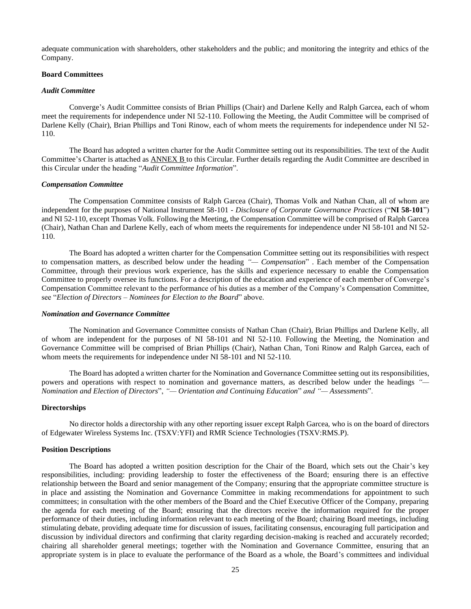adequate communication with shareholders, other stakeholders and the public; and monitoring the integrity and ethics of the Company.

# **Board Committees**

#### *Audit Committee*

Converge's Audit Committee consists of Brian Phillips (Chair) and Darlene Kelly and Ralph Garcea, each of whom meet the requirements for independence under NI 52-110. Following the Meeting, the Audit Committee will be comprised of Darlene Kelly (Chair), Brian Phillips and Toni Rinow, each of whom meets the requirements for independence under NI 52- 110.

The Board has adopted a written charter for the Audit Committee setting out its responsibilities. The text of the Audit Committee's Charter is attached as [ANNEX B](#page-40-0) to this Circular. Further details regarding the Audit Committee are described in this Circular under the heading "*Audit Committee Information*".

#### *Compensation Committee*

The Compensation Committee consists of Ralph Garcea (Chair), Thomas Volk and Nathan Chan, all of whom are independent for the purposes of National Instrument 58-101 - *Disclosure of Corporate Governance Practices* ("**NI 58-101**") and NI 52-110, except Thomas Volk*.* Following the Meeting, the Compensation Committee will be comprised of Ralph Garcea (Chair), Nathan Chan and Darlene Kelly, each of whom meets the requirements for independence under NI 58-101 and NI 52- 110.

The Board has adopted a written charter for the Compensation Committee setting out its responsibilities with respect to compensation matters, as described below under the heading *"— Compensation*" . Each member of the Compensation Committee, through their previous work experience, has the skills and experience necessary to enable the Compensation Committee to properly oversee its functions. For a description of the education and experience of each member of Converge's Compensation Committee relevant to the performance of his duties as a member of the Company's Compensation Committee, see "*Election of Directors – Nominees for Election to the Board*" above.

#### *Nomination and Governance Committee*

The Nomination and Governance Committee consists of Nathan Chan (Chair), Brian Phillips and Darlene Kelly, all of whom are independent for the purposes of NI 58-101 and NI 52-110*.* Following the Meeting, the Nomination and Governance Committee will be comprised of Brian Phillips (Chair), Nathan Chan, Toni Rinow and Ralph Garcea, each of whom meets the requirements for independence under NI 58-101 and NI 52-110.

The Board has adopted a written charter for the Nomination and Governance Committee setting out its responsibilities, powers and operations with respect to nomination and governance matters, as described below under the headings *"— Nomination and Election of Directors*", *"— Orientation and Continuing Education*" *and "— Assessments*".

#### **Directorships**

No director holds a directorship with any other reporting issuer except Ralph Garcea, who is on the board of directors of Edgewater Wireless Systems Inc. (TSXV:YFI) and RMR Science Technologies (TSXV:RMS.P).

#### **Position Descriptions**

The Board has adopted a written position description for the Chair of the Board, which sets out the Chair's key responsibilities, including: providing leadership to foster the effectiveness of the Board; ensuring there is an effective relationship between the Board and senior management of the Company; ensuring that the appropriate committee structure is in place and assisting the Nomination and Governance Committee in making recommendations for appointment to such committees; in consultation with the other members of the Board and the Chief Executive Officer of the Company, preparing the agenda for each meeting of the Board; ensuring that the directors receive the information required for the proper performance of their duties, including information relevant to each meeting of the Board; chairing Board meetings, including stimulating debate, providing adequate time for discussion of issues, facilitating consensus, encouraging full participation and discussion by individual directors and confirming that clarity regarding decision-making is reached and accurately recorded; chairing all shareholder general meetings; together with the Nomination and Governance Committee, ensuring that an appropriate system is in place to evaluate the performance of the Board as a whole, the Board's committees and individual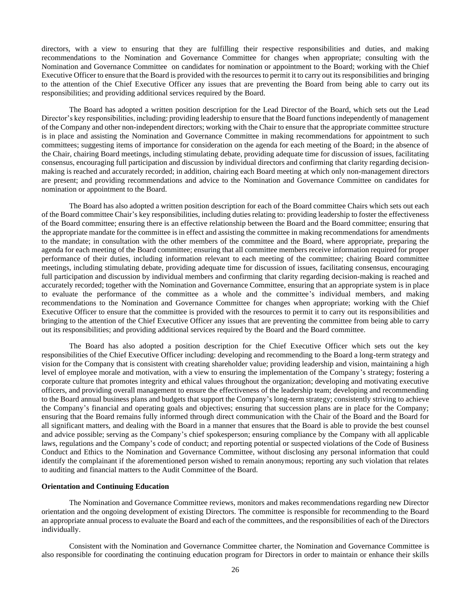directors, with a view to ensuring that they are fulfilling their respective responsibilities and duties, and making recommendations to the Nomination and Governance Committee for changes when appropriate; consulting with the Nomination and Governance Committee on candidates for nomination or appointment to the Board; working with the Chief Executive Officer to ensure that the Board is provided with the resources to permit it to carry out its responsibilities and bringing to the attention of the Chief Executive Officer any issues that are preventing the Board from being able to carry out its responsibilities; and providing additional services required by the Board.

The Board has adopted a written position description for the Lead Director of the Board, which sets out the Lead Director's key responsibilities, including: providing leadership to ensure that the Board functions independently of management of the Company and other non-independent directors; working with the Chair to ensure that the appropriate committee structure is in place and assisting the Nomination and Governance Committee in making recommendations for appointment to such committees; suggesting items of importance for consideration on the agenda for each meeting of the Board; in the absence of the Chair, chairing Board meetings, including stimulating debate, providing adequate time for discussion of issues, facilitating consensus, encouraging full participation and discussion by individual directors and confirming that clarity regarding decisionmaking is reached and accurately recorded; in addition, chairing each Board meeting at which only non-management directors are present; and providing recommendations and advice to the Nomination and Governance Committee on candidates for nomination or appointment to the Board.

The Board has also adopted a written position description for each of the Board committee Chairs which sets out each of the Board committee Chair's key responsibilities, including duties relating to: providing leadership to foster the effectiveness of the Board committee; ensuring there is an effective relationship between the Board and the Board committee; ensuring that the appropriate mandate for the committee is in effect and assisting the committee in making recommendations for amendments to the mandate; in consultation with the other members of the committee and the Board, where appropriate, preparing the agenda for each meeting of the Board committee; ensuring that all committee members receive information required for proper performance of their duties, including information relevant to each meeting of the committee; chairing Board committee meetings, including stimulating debate, providing adequate time for discussion of issues, facilitating consensus, encouraging full participation and discussion by individual members and confirming that clarity regarding decision-making is reached and accurately recorded; together with the Nomination and Governance Committee, ensuring that an appropriate system is in place to evaluate the performance of the committee as a whole and the committee's individual members, and making recommendations to the Nomination and Governance Committee for changes when appropriate; working with the Chief Executive Officer to ensure that the committee is provided with the resources to permit it to carry out its responsibilities and bringing to the attention of the Chief Executive Officer any issues that are preventing the committee from being able to carry out its responsibilities; and providing additional services required by the Board and the Board committee.

The Board has also adopted a position description for the Chief Executive Officer which sets out the key responsibilities of the Chief Executive Officer including: developing and recommending to the Board a long-term strategy and vision for the Company that is consistent with creating shareholder value; providing leadership and vision, maintaining a high level of employee morale and motivation, with a view to ensuring the implementation of the Company's strategy; fostering a corporate culture that promotes integrity and ethical values throughout the organization; developing and motivating executive officers, and providing overall management to ensure the effectiveness of the leadership team; developing and recommending to the Board annual business plans and budgets that support the Company's long-term strategy; consistently striving to achieve the Company's financial and operating goals and objectives; ensuring that succession plans are in place for the Company; ensuring that the Board remains fully informed through direct communication with the Chair of the Board and the Board for all significant matters, and dealing with the Board in a manner that ensures that the Board is able to provide the best counsel and advice possible; serving as the Company's chief spokesperson; ensuring compliance by the Company with all applicable laws, regulations and the Company's code of conduct; and reporting potential or suspected violations of the Code of Business Conduct and Ethics to the Nomination and Governance Committee, without disclosing any personal information that could identify the complainant if the aforementioned person wished to remain anonymous; reporting any such violation that relates to auditing and financial matters to the Audit Committee of the Board.

## **Orientation and Continuing Education**

The Nomination and Governance Committee reviews, monitors and makes recommendations regarding new Director orientation and the ongoing development of existing Directors. The committee is responsible for recommending to the Board an appropriate annual process to evaluate the Board and each of the committees, and the responsibilities of each of the Directors individually.

Consistent with the Nomination and Governance Committee charter, the Nomination and Governance Committee is also responsible for coordinating the continuing education program for Directors in order to maintain or enhance their skills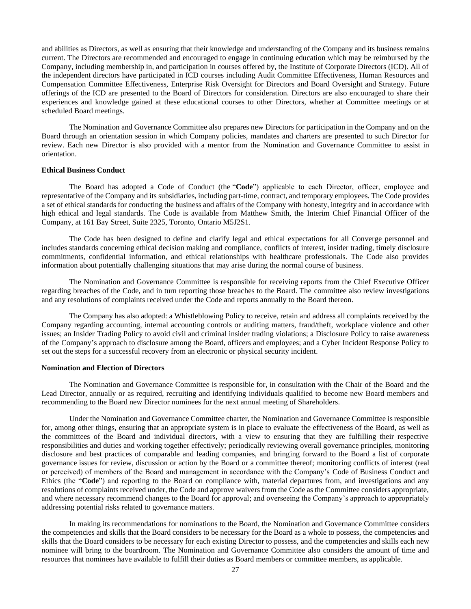and abilities as Directors, as well as ensuring that their knowledge and understanding of the Company and its business remains current. The Directors are recommended and encouraged to engage in continuing education which may be reimbursed by the Company, including membership in, and participation in courses offered by, the Institute of Corporate Directors (ICD). All of the independent directors have participated in ICD courses including Audit Committee Effectiveness, Human Resources and Compensation Committee Effectiveness, Enterprise Risk Oversight for Directors and Board Oversight and Strategy. Future offerings of the ICD are presented to the Board of Directors for consideration. Directors are also encouraged to share their experiences and knowledge gained at these educational courses to other Directors, whether at Committee meetings or at scheduled Board meetings.

The Nomination and Governance Committee also prepares new Directors for participation in the Company and on the Board through an orientation session in which Company policies, mandates and charters are presented to such Director for review. Each new Director is also provided with a mentor from the Nomination and Governance Committee to assist in orientation.

#### **Ethical Business Conduct**

The Board has adopted a Code of Conduct (the "**Code**") applicable to each Director, officer, employee and representative of the Company and its subsidiaries, including part-time, contract, and temporary employees. The Code provides a set of ethical standards for conducting the business and affairs of the Company with honesty, integrity and in accordance with high ethical and legal standards. The Code is available from Matthew Smith, the Interim Chief Financial Officer of the Company, at 161 Bay Street, Suite 2325, Toronto, Ontario M5J2S1.

The Code has been designed to define and clarify legal and ethical expectations for all Converge personnel and includes standards concerning ethical decision making and compliance, conflicts of interest, insider trading, timely disclosure commitments, confidential information, and ethical relationships with healthcare professionals. The Code also provides information about potentially challenging situations that may arise during the normal course of business.

The Nomination and Governance Committee is responsible for receiving reports from the Chief Executive Officer regarding breaches of the Code, and in turn reporting those breaches to the Board. The committee also review investigations and any resolutions of complaints received under the Code and reports annually to the Board thereon.

The Company has also adopted: a Whistleblowing Policy to receive, retain and address all complaints received by the Company regarding accounting, internal accounting controls or auditing matters, fraud/theft, workplace violence and other issues; an Insider Trading Policy to avoid civil and criminal insider trading violations; a Disclosure Policy to raise awareness of the Company's approach to disclosure among the Board, officers and employees; and a Cyber Incident Response Policy to set out the steps for a successful recovery from an electronic or physical security incident.

## **Nomination and Election of Directors**

The Nomination and Governance Committee is responsible for, in consultation with the Chair of the Board and the Lead Director, annually or as required, recruiting and identifying individuals qualified to become new Board members and recommending to the Board new Director nominees for the next annual meeting of Shareholders.

Under the Nomination and Governance Committee charter, the Nomination and Governance Committee is responsible for, among other things, ensuring that an appropriate system is in place to evaluate the effectiveness of the Board, as well as the committees of the Board and individual directors, with a view to ensuring that they are fulfilling their respective responsibilities and duties and working together effectively; periodically reviewing overall governance principles, monitoring disclosure and best practices of comparable and leading companies, and bringing forward to the Board a list of corporate governance issues for review, discussion or action by the Board or a committee thereof; monitoring conflicts of interest (real or perceived) of members of the Board and management in accordance with the Company's Code of Business Conduct and Ethics (the "**Code**") and reporting to the Board on compliance with, material departures from, and investigations and any resolutions of complaints received under, the Code and approve waivers from the Code as the Committee considers appropriate, and where necessary recommend changes to the Board for approval; and overseeing the Company's approach to appropriately addressing potential risks related to governance matters.

In making its recommendations for nominations to the Board, the Nomination and Governance Committee considers the competencies and skills that the Board considers to be necessary for the Board as a whole to possess, the competencies and skills that the Board considers to be necessary for each existing Director to possess, and the competencies and skills each new nominee will bring to the boardroom. The Nomination and Governance Committee also considers the amount of time and resources that nominees have available to fulfill their duties as Board members or committee members, as applicable.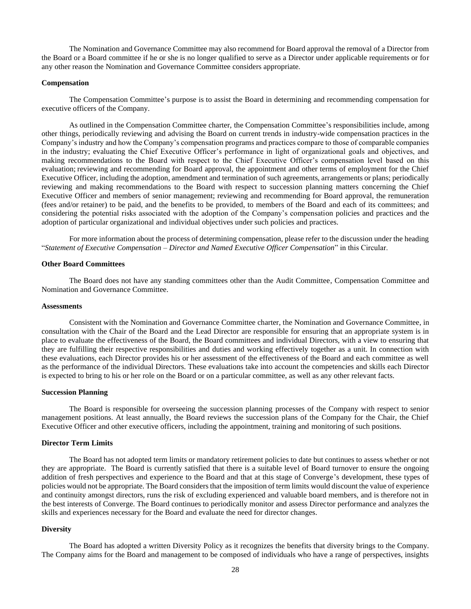The Nomination and Governance Committee may also recommend for Board approval the removal of a Director from the Board or a Board committee if he or she is no longer qualified to serve as a Director under applicable requirements or for any other reason the Nomination and Governance Committee considers appropriate.

#### **Compensation**

The Compensation Committee's purpose is to assist the Board in determining and recommending compensation for executive officers of the Company.

As outlined in the Compensation Committee charter, the Compensation Committee's responsibilities include, among other things, periodically reviewing and advising the Board on current trends in industry-wide compensation practices in the Company's industry and how the Company's compensation programs and practices compare to those of comparable companies in the industry; evaluating the Chief Executive Officer's performance in light of organizational goals and objectives, and making recommendations to the Board with respect to the Chief Executive Officer's compensation level based on this evaluation; reviewing and recommending for Board approval, the appointment and other terms of employment for the Chief Executive Officer, including the adoption, amendment and termination of such agreements, arrangements or plans; periodically reviewing and making recommendations to the Board with respect to succession planning matters concerning the Chief Executive Officer and members of senior management; reviewing and recommending for Board approval, the remuneration (fees and/or retainer) to be paid, and the benefits to be provided, to members of the Board and each of its committees; and considering the potential risks associated with the adoption of the Company's compensation policies and practices and the adoption of particular organizational and individual objectives under such policies and practices.

For more information about the process of determining compensation, please refer to the discussion under the heading "*Statement of Executive Compensation – Director and Named Executive Officer Compensation*" in this Circular.

#### **Other Board Committees**

The Board does not have any standing committees other than the Audit Committee, Compensation Committee and Nomination and Governance Committee.

#### **Assessments**

Consistent with the Nomination and Governance Committee charter, the Nomination and Governance Committee, in consultation with the Chair of the Board and the Lead Director are responsible for ensuring that an appropriate system is in place to evaluate the effectiveness of the Board, the Board committees and individual Directors, with a view to ensuring that they are fulfilling their respective responsibilities and duties and working effectively together as a unit. In connection with these evaluations, each Director provides his or her assessment of the effectiveness of the Board and each committee as well as the performance of the individual Directors. These evaluations take into account the competencies and skills each Director is expected to bring to his or her role on the Board or on a particular committee, as well as any other relevant facts.

## **Succession Planning**

The Board is responsible for overseeing the succession planning processes of the Company with respect to senior management positions. At least annually, the Board reviews the succession plans of the Company for the Chair, the Chief Executive Officer and other executive officers, including the appointment, training and monitoring of such positions.

## **Director Term Limits**

The Board has not adopted term limits or mandatory retirement policies to date but continues to assess whether or not they are appropriate. The Board is currently satisfied that there is a suitable level of Board turnover to ensure the ongoing addition of fresh perspectives and experience to the Board and that at this stage of Converge's development, these types of policies would not be appropriate. The Board considers that the imposition of term limits would discount the value of experience and continuity amongst directors, runs the risk of excluding experienced and valuable board members, and is therefore not in the best interests of Converge. The Board continues to periodically monitor and assess Director performance and analyzes the skills and experiences necessary for the Board and evaluate the need for director changes.

#### **Diversity**

The Board has adopted a written Diversity Policy as it recognizes the benefits that diversity brings to the Company. The Company aims for the Board and management to be composed of individuals who have a range of perspectives, insights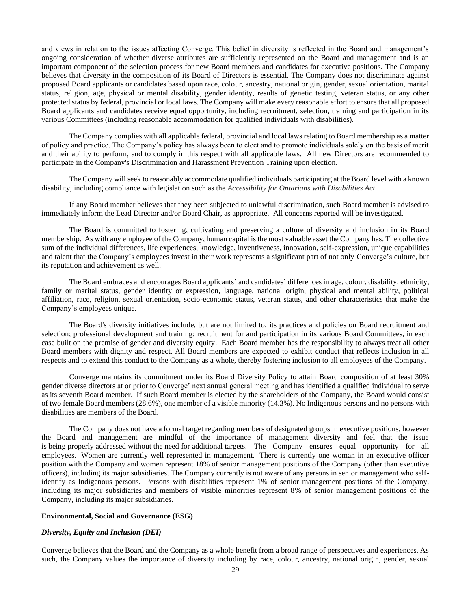and views in relation to the issues affecting Converge. This belief in diversity is reflected in the Board and management's ongoing consideration of whether diverse attributes are sufficiently represented on the Board and management and is an important component of the selection process for new Board members and candidates for executive positions. The Company believes that diversity in the composition of its Board of Directors is essential. The Company does not discriminate against proposed Board applicants or candidates based upon race, colour, ancestry, national origin, gender, sexual orientation, marital status, religion, age, physical or mental disability, gender identity, results of genetic testing, veteran status, or any other protected status by federal, provincial or local laws. The Company will make every reasonable effort to ensure that all proposed Board applicants and candidates receive equal opportunity, including recruitment, selection, training and participation in its various Committees (including reasonable accommodation for qualified individuals with disabilities).

The Company complies with all applicable federal, provincial and local laws relating to Board membership as a matter of policy and practice. The Company's policy has always been to elect and to promote individuals solely on the basis of merit and their ability to perform, and to comply in this respect with all applicable laws. All new Directors are recommended to participate in the Company's Discrimination and Harassment Prevention Training upon election.

The Company will seek to reasonably accommodate qualified individuals participating at the Board level with a known disability, including compliance with legislation such as the *Accessibility for Ontarians with Disabilities Act*.

If any Board member believes that they been subjected to unlawful discrimination, such Board member is advised to immediately inform the Lead Director and/or Board Chair, as appropriate. All concerns reported will be investigated.

The Board is committed to fostering, cultivating and preserving a culture of diversity and inclusion in its Board membership. As with any employee of the Company, human capital is the most valuable asset the Company has. The collective sum of the individual differences, life experiences, knowledge, inventiveness, innovation, self-expression, unique capabilities and talent that the Company's employees invest in their work represents a significant part of not only Converge's culture, but its reputation and achievement as well.

The Board embraces and encourages Board applicants' and candidates' differences in age, colour, disability, ethnicity, family or marital status, gender identity or expression, language, national origin, physical and mental ability, political affiliation, race, religion, sexual orientation, socio-economic status, veteran status, and other characteristics that make the Company's employees unique.

The Board's diversity initiatives include, but are not limited to, its practices and policies on Board recruitment and selection; professional development and training; recruitment for and participation in its various Board Committees, in each case built on the premise of gender and diversity equity. Each Board member has the responsibility to always treat all other Board members with dignity and respect. All Board members are expected to exhibit conduct that reflects inclusion in all respects and to extend this conduct to the Company as a whole, thereby fostering inclusion to all employees of the Company.

Converge maintains its commitment under its Board Diversity Policy to attain Board composition of at least 30% gender diverse directors at or prior to Converge' next annual general meeting and has identified a qualified individual to serve as its seventh Board member. If such Board member is elected by the shareholders of the Company, the Board would consist of two female Board members (28.6%), one member of a visible minority (14.3%). No Indigenous persons and no persons with disabilities are members of the Board.

The Company does not have a formal target regarding members of designated groups in executive positions, however the Board and management are mindful of the importance of management diversity and feel that the issue is being properly addressed without the need for additional targets. The Company ensures equal opportunity for all employees. Women are currently well represented in management. There is currently one woman in an executive officer position with the Company and women represent 18% of senior management positions of the Company (other than executive officers), including its major subsidiaries. The Company currently is not aware of any persons in senior management who selfidentify as Indigenous persons. Persons with disabilities represent 1% of senior management positions of the Company, including its major subsidiaries and members of visible minorities represent 8% of senior management positions of the Company, including its major subsidiaries.

## **Environmental, Social and Governance (ESG)**

#### *Diversity, Equity and Inclusion (DEI)*

Converge believes that the Board and the Company as a whole benefit from a broad range of perspectives and experiences. As such, the Company values the importance of diversity including by race, colour, ancestry, national origin, gender, sexual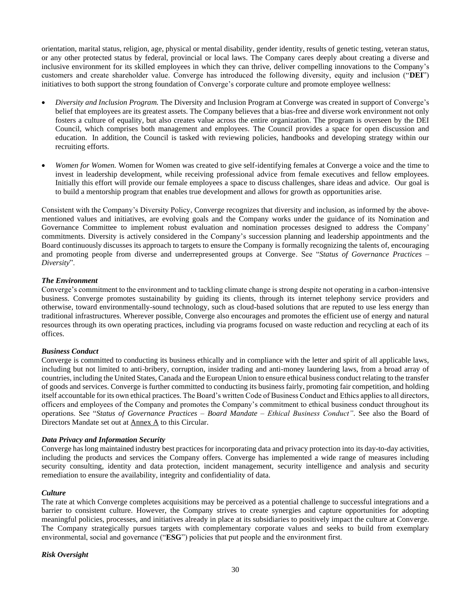orientation, marital status, religion, age, physical or mental disability, gender identity, results of genetic testing, veteran status, or any other protected status by federal, provincial or local laws. The Company cares deeply about creating a diverse and inclusive environment for its skilled employees in which they can thrive, deliver compelling innovations to the Company's customers and create shareholder value. Converge has introduced the following diversity, equity and inclusion ("**DEI**") initiatives to both support the strong foundation of Converge's corporate culture and promote employee wellness:

- *Diversity and Inclusion Program.* The Diversity and Inclusion Program at Converge was created in support of Converge's belief that employees are its greatest assets. The Company believes that a bias-free and diverse work environment not only fosters a culture of equality, but also creates value across the entire organization. The program is overseen by the DEI Council, which comprises both management and employees. The Council provides a space for open discussion and education. In addition, the Council is tasked with reviewing policies, handbooks and developing strategy within our recruiting efforts.
- *Women for Women.* Women for Women was created to give self-identifying females at Converge a voice and the time to invest in leadership development, while receiving professional advice from female executives and fellow employees. Initially this effort will provide our female employees a space to discuss challenges, share ideas and advice. Our goal is to build a mentorship program that enables true development and allows for growth as opportunities arise.

Consistent with the Company's Diversity Policy, Converge recognizes that diversity and inclusion, as informed by the abovementioned values and initiatives, are evolving goals and the Company works under the guidance of its Nomination and Governance Committee to implement robust evaluation and nomination processes designed to address the Company' commitments. Diversity is actively considered in the Company's succession planning and leadership appointments and the Board continuously discusses its approach to targets to ensure the Company is formally recognizing the talents of, encouraging and promoting people from diverse and underrepresented groups at Converge. See "*Status of Governance Practices* – *Diversity*".

# *The Environment*

Converge's commitment to the environment and to tackling climate change is strong despite not operating in a carbon-intensive business. Converge promotes sustainability by guiding its clients, through its internet telephony service providers and otherwise, toward environmentally-sound technology, such as cloud-based solutions that are reputed to use less energy than traditional infrastructures. Wherever possible, Converge also encourages and promotes the efficient use of energy and natural resources through its own operating practices, including via programs focused on waste reduction and recycling at each of its offices.

# *Business Conduct*

Converge is committed to conducting its business ethically and in compliance with the letter and spirit of all applicable laws, including but not limited to anti-bribery, corruption, insider trading and anti-money laundering laws, from a broad array of countries, including the United States, Canada and the European Union to ensure ethical business conduct relating to the transfer of goods and services. Converge is further committed to conducting its business fairly, promoting fair competition, and holding itself accountable for its own ethical practices. The Board's written Code of Business Conduct and Ethics applies to all directors, officers and employees of the Company and promotes the Company's commitment to ethical business conduct throughout its operations. See "*Status of Governance Practices* – *Board Mandate – Ethical Business Conduct"*. See also the Board of Directors Mandate set out at Annex A to this Circular.

# *Data Privacy and Information Security*

Converge has long maintained industry best practices for incorporating data and privacy protection into its day-to-day activities, including the products and services the Company offers. Converge has implemented a wide range of measures including security consulting, identity and data protection, incident management, security intelligence and analysis and security remediation to ensure the availability, integrity and confidentiality of data.

# *Culture*

The rate at which Converge completes acquisitions may be perceived as a potential challenge to successful integrations and a barrier to consistent culture. However, the Company strives to create synergies and capture opportunities for adopting meaningful policies, processes, and initiatives already in place at its subsidiaries to positively impact the culture at Converge. The Company strategically pursues targets with complementary corporate values and seeks to build from exemplary environmental, social and governance ("**ESG**") policies that put people and the environment first.

# *Risk Oversight*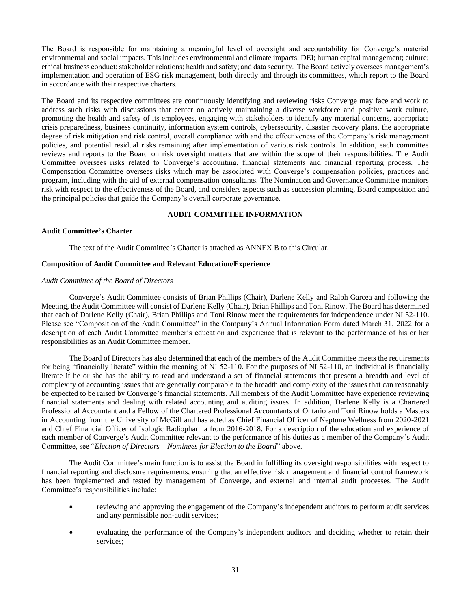The Board is responsible for maintaining a meaningful level of oversight and accountability for Converge's material environmental and social impacts. This includes environmental and climate impacts; DEI; human capital management; culture; ethical business conduct; stakeholder relations; health and safety; and data security. The Board actively oversees management's implementation and operation of ESG risk management, both directly and through its committees, which report to the Board in accordance with their respective charters.

The Board and its respective committees are continuously identifying and reviewing risks Converge may face and work to address such risks with discussions that center on actively maintaining a diverse workforce and positive work culture, promoting the health and safety of its employees, engaging with stakeholders to identify any material concerns, appropriate crisis preparedness, business continuity, information system controls, cybersecurity, disaster recovery plans, the appropriate degree of risk mitigation and risk control, overall compliance with and the effectiveness of the Company's risk management policies, and potential residual risks remaining after implementation of various risk controls. In addition, each committee reviews and reports to the Board on risk oversight matters that are within the scope of their responsibilities. The Audit Committee oversees risks related to Converge's accounting, financial statements and financial reporting process. The Compensation Committee oversees risks which may be associated with Converge's compensation policies, practices and program, including with the aid of external compensation consultants. The Nomination and Governance Committee monitors risk with respect to the effectiveness of the Board, and considers aspects such as succession planning, Board composition and the principal policies that guide the Company's overall corporate governance.

## **AUDIT COMMITTEE INFORMATION**

## <span id="page-33-0"></span>**Audit Committee's Charter**

The text of the Audit Committee's Charter is attached as [ANNEX B](#page-40-0) to this Circular.

## **Composition of Audit Committee and Relevant Education/Experience**

## *Audit Committee of the Board of Directors*

Converge's Audit Committee consists of Brian Phillips (Chair), Darlene Kelly and Ralph Garcea and following the Meeting, the Audit Committee will consist of Darlene Kelly (Chair), Brian Phillips and Toni Rinow. The Board has determined that each of Darlene Kelly (Chair), Brian Phillips and Toni Rinow meet the requirements for independence under NI 52-110. Please see "Composition of the Audit Committee" in the Company's Annual Information Form dated March 31, 2022 for a description of each Audit Committee member's education and experience that is relevant to the performance of his or her responsibilities as an Audit Committee member.

The Board of Directors has also determined that each of the members of the Audit Committee meets the requirements for being "financially literate" within the meaning of NI 52-110. For the purposes of NI 52-110, an individual is financially literate if he or she has the ability to read and understand a set of financial statements that present a breadth and level of complexity of accounting issues that are generally comparable to the breadth and complexity of the issues that can reasonably be expected to be raised by Converge's financial statements. All members of the Audit Committee have experience reviewing financial statements and dealing with related accounting and auditing issues. In addition, Darlene Kelly is a Chartered Professional Accountant and a Fellow of the Chartered Professional Accountants of Ontario and Toni Rinow holds a Masters in Accounting from the University of McGill and has acted as Chief Financial Officer of Neptune Wellness from 2020-2021 and Chief Financial Officer of Isologic Radiopharma from 2016-2018. For a description of the education and experience of each member of Converge's Audit Committee relevant to the performance of his duties as a member of the Company's Audit Committee, see "*Election of Directors – Nominees for Election to the Board*" above.

The Audit Committee's main function is to assist the Board in fulfilling its oversight responsibilities with respect to financial reporting and disclosure requirements, ensuring that an effective risk management and financial control framework has been implemented and tested by management of Converge, and external and internal audit processes. The Audit Committee's responsibilities include:

- reviewing and approving the engagement of the Company's independent auditors to perform audit services and any permissible non-audit services;
- evaluating the performance of the Company's independent auditors and deciding whether to retain their services;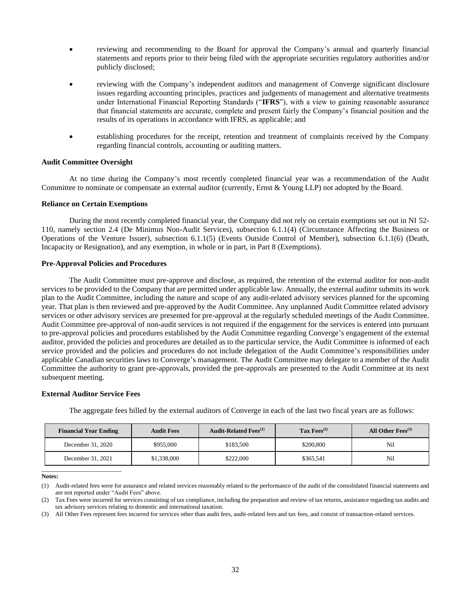- reviewing and recommending to the Board for approval the Company's annual and quarterly financial statements and reports prior to their being filed with the appropriate securities regulatory authorities and/or publicly disclosed;
- reviewing with the Company's independent auditors and management of Converge significant disclosure issues regarding accounting principles, practices and judgements of management and alternative treatments under International Financial Reporting Standards ("**IFRS**"), with a view to gaining reasonable assurance that financial statements are accurate, complete and present fairly the Company's financial position and the results of its operations in accordance with IFRS, as applicable; and
- establishing procedures for the receipt, retention and treatment of complaints received by the Company regarding financial controls, accounting or auditing matters.

## **Audit Committee Oversight**

At no time during the Company's most recently completed financial year was a recommendation of the Audit Committee to nominate or compensate an external auditor (currently, Ernst & Young LLP) not adopted by the Board.

## **Reliance on Certain Exemptions**

During the most recently completed financial year, the Company did not rely on certain exemptions set out in NI 52- 110, namely section 2.4 (De Minimus Non-Audit Services), subsection 6.1.1(4) (Circumstance Affecting the Business or Operations of the Venture Issuer), subsection 6.1.1(5) (Events Outside Control of Member), subsection 6.1.1(6) (Death, Incapacity or Resignation), and any exemption, in whole or in part, in Part 8 (Exemptions).

## **Pre-Approval Policies and Procedures**

The Audit Committee must pre-approve and disclose, as required, the retention of the external auditor for non-audit services to be provided to the Company that are permitted under applicable law. Annually, the external auditor submits its work plan to the Audit Committee, including the nature and scope of any audit-related advisory services planned for the upcoming year. That plan is then reviewed and pre-approved by the Audit Committee. Any unplanned Audit Committee related advisory services or other advisory services are presented for pre-approval at the regularly scheduled meetings of the Audit Committee. Audit Committee pre-approval of non-audit services is not required if the engagement for the services is entered into pursuant to pre-approval policies and procedures established by the Audit Committee regarding Converge's engagement of the external auditor, provided the policies and procedures are detailed as to the particular service, the Audit Committee is informed of each service provided and the policies and procedures do not include delegation of the Audit Committee's responsibilities under applicable Canadian securities laws to Converge's management. The Audit Committee may delegate to a member of the Audit Committee the authority to grant pre-approvals, provided the pre-approvals are presented to the Audit Committee at its next subsequent meeting.

#### **External Auditor Service Fees**

\_\_\_\_\_\_\_\_\_\_\_\_\_\_\_\_\_\_\_\_\_\_\_\_\_\_

The aggregate fees billed by the external auditors of Converge in each of the last two fiscal years are as follows:

| <b>Financial Year Ending</b> | <b>Audit Fees</b> | <b>Audit-Related Fees</b> <sup>(1)</sup> | Tax $Fess^{(2)}$ | All Other $Fees^{(3)}$ |
|------------------------------|-------------------|------------------------------------------|------------------|------------------------|
| December 31, 2020            | \$955,000         | \$183,500                                | \$200,800        | Nil                    |
| December 31, 2021            | \$1,338,000       | \$222,000                                | \$365.541        | Nil                    |

**Notes:**

<sup>(1)</sup> Audit-related fees were for assurance and related services reasonably related to the performance of the audit of the consolidated financial statements and are not reported under "Audit Fees" above.

<sup>(2)</sup> Tax Fees were incurred for services consisting of tax compliance, including the preparation and review of tax returns, assistance regarding tax audits and tax advisory services relating to domestic and international taxation.

<sup>(3)</sup> All Other Fees represent fees incurred for services other than audit fees, audit-related fees and tax fees, and consist of transaction-related services.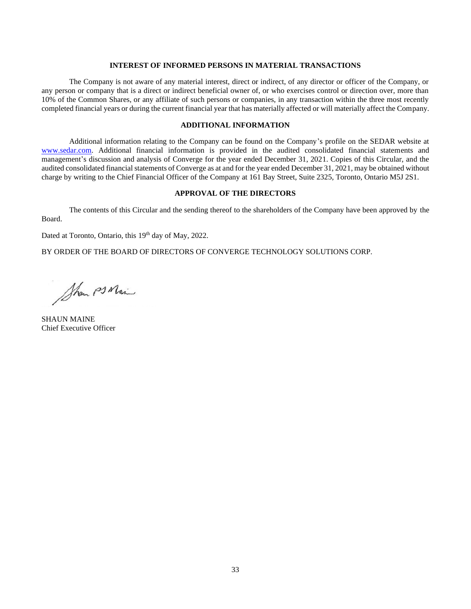## **INTEREST OF INFORMED PERSONS IN MATERIAL TRANSACTIONS**

<span id="page-35-0"></span>The Company is not aware of any material interest, direct or indirect, of any director or officer of the Company, or any person or company that is a direct or indirect beneficial owner of, or who exercises control or direction over, more than 10% of the Common Shares, or any affiliate of such persons or companies, in any transaction within the three most recently completed financial years or during the current financial year that has materially affected or will materially affect the Company.

# **ADDITIONAL INFORMATION**

<span id="page-35-1"></span>Additional information relating to the Company can be found on the Company's profile on the SEDAR website at [www.sedar.com.](http://www.sedar.com/) Additional financial information is provided in the audited consolidated financial statements and management's discussion and analysis of Converge for the year ended December 31, 2021. Copies of this Circular, and the audited consolidated financial statements of Converge as at and for the year ended December 31, 2021, may be obtained without charge by writing to the Chief Financial Officer of the Company at 161 Bay Street, Suite 2325, Toronto, Ontario M5J 2S1.

## **APPROVAL OF THE DIRECTORS**

<span id="page-35-2"></span>The contents of this Circular and the sending thereof to the shareholders of the Company have been approved by the Board.

Dated at Toronto, Ontario, this 19<sup>th</sup> day of May, 2022.

BY ORDER OF THE BOARD OF DIRECTORS OF CONVERGE TECHNOLOGY SOLUTIONS CORP.

Show PS Main

SHAUN MAINE Chief Executive Officer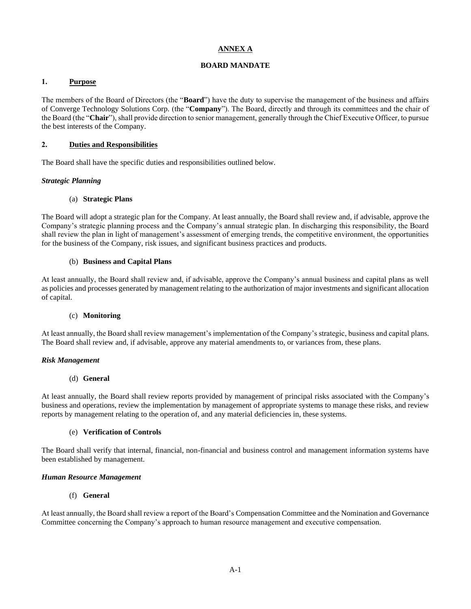# **ANNEX A**

# **BOARD MANDATE**

# <span id="page-36-1"></span><span id="page-36-0"></span>**1. Purpose**

The members of the Board of Directors (the "**Board**") have the duty to supervise the management of the business and affairs of Converge Technology Solutions Corp. (the "**Company**"). The Board, directly and through its committees and the chair of the Board (the "**Chair**"), shall provide direction to senior management, generally through the Chief Executive Officer, to pursue the best interests of the Company.

## **2. Duties and Responsibilities**

The Board shall have the specific duties and responsibilities outlined below.

## *Strategic Planning*

## (a) **Strategic Plans**

The Board will adopt a strategic plan for the Company. At least annually, the Board shall review and, if advisable, approve the Company's strategic planning process and the Company's annual strategic plan. In discharging this responsibility, the Board shall review the plan in light of management's assessment of emerging trends, the competitive environment, the opportunities for the business of the Company, risk issues, and significant business practices and products.

## (b) **Business and Capital Plans**

At least annually, the Board shall review and, if advisable, approve the Company's annual business and capital plans as well as policies and processes generated by management relating to the authorization of major investments and significant allocation of capital.

## (c) **Monitoring**

At least annually, the Board shall review management's implementation of the Company's strategic, business and capital plans. The Board shall review and, if advisable, approve any material amendments to, or variances from, these plans.

## *Risk Management*

## (d) **General**

At least annually, the Board shall review reports provided by management of principal risks associated with the Company's business and operations, review the implementation by management of appropriate systems to manage these risks, and review reports by management relating to the operation of, and any material deficiencies in, these systems.

## (e) **Verification of Controls**

The Board shall verify that internal, financial, non-financial and business control and management information systems have been established by management.

## *Human Resource Management*

# (f) **General**

At least annually, the Board shall review a report of the Board's Compensation Committee and the Nomination and Governance Committee concerning the Company's approach to human resource management and executive compensation.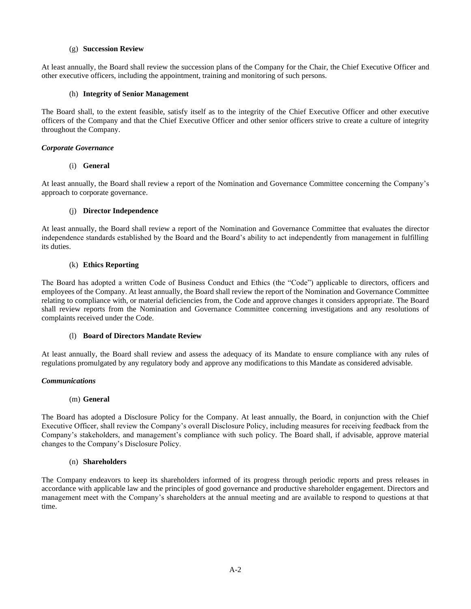# (g) **Succession Review**

At least annually, the Board shall review the succession plans of the Company for the Chair, the Chief Executive Officer and other executive officers, including the appointment, training and monitoring of such persons.

## (h) **Integrity of Senior Management**

The Board shall, to the extent feasible, satisfy itself as to the integrity of the Chief Executive Officer and other executive officers of the Company and that the Chief Executive Officer and other senior officers strive to create a culture of integrity throughout the Company.

# *Corporate Governance*

## (i) **General**

At least annually, the Board shall review a report of the Nomination and Governance Committee concerning the Company's approach to corporate governance.

## (j) **Director Independence**

At least annually, the Board shall review a report of the Nomination and Governance Committee that evaluates the director independence standards established by the Board and the Board's ability to act independently from management in fulfilling its duties.

## (k) **Ethics Reporting**

The Board has adopted a written Code of Business Conduct and Ethics (the "Code") applicable to directors, officers and employees of the Company. At least annually, the Board shall review the report of the Nomination and Governance Committee relating to compliance with, or material deficiencies from, the Code and approve changes it considers appropriate. The Board shall review reports from the Nomination and Governance Committee concerning investigations and any resolutions of complaints received under the Code.

# (l) **Board of Directors Mandate Review**

At least annually, the Board shall review and assess the adequacy of its Mandate to ensure compliance with any rules of regulations promulgated by any regulatory body and approve any modifications to this Mandate as considered advisable.

## *Communications*

## (m) **General**

The Board has adopted a Disclosure Policy for the Company. At least annually, the Board, in conjunction with the Chief Executive Officer, shall review the Company's overall Disclosure Policy, including measures for receiving feedback from the Company's stakeholders, and management's compliance with such policy. The Board shall, if advisable, approve material changes to the Company's Disclosure Policy.

## (n) **Shareholders**

The Company endeavors to keep its shareholders informed of its progress through periodic reports and press releases in accordance with applicable law and the principles of good governance and productive shareholder engagement. Directors and management meet with the Company's shareholders at the annual meeting and are available to respond to questions at that time.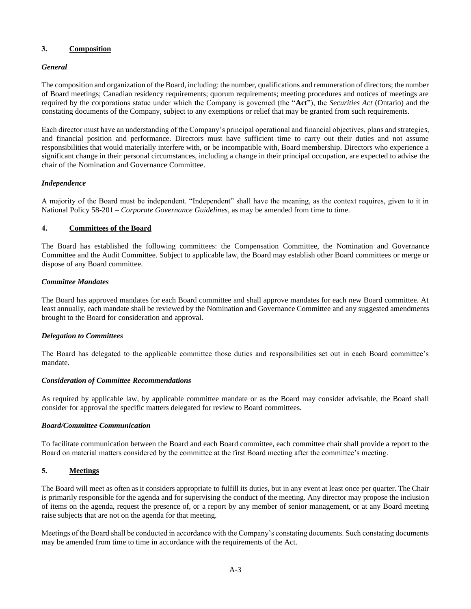# **3. Composition**

# *General*

The composition and organization of the Board, including: the number, qualifications and remuneration of directors; the number of Board meetings; Canadian residency requirements; quorum requirements; meeting procedures and notices of meetings are required by the corporations statue under which the Company is governed (the "**Act**"), the *Securities Act* (Ontario) and the constating documents of the Company, subject to any exemptions or relief that may be granted from such requirements.

Each director must have an understanding of the Company's principal operational and financial objectives, plans and strategies, and financial position and performance. Directors must have sufficient time to carry out their duties and not assume responsibilities that would materially interfere with, or be incompatible with, Board membership. Directors who experience a significant change in their personal circumstances, including a change in their principal occupation, are expected to advise the chair of the Nomination and Governance Committee.

# *Independence*

A majority of the Board must be independent. "Independent" shall have the meaning, as the context requires, given to it in National Policy 58-201 – *Corporate Governance Guidelines*, as may be amended from time to time.

# **4. Committees of the Board**

The Board has established the following committees: the Compensation Committee, the Nomination and Governance Committee and the Audit Committee. Subject to applicable law, the Board may establish other Board committees or merge or dispose of any Board committee.

# *Committee Mandates*

The Board has approved mandates for each Board committee and shall approve mandates for each new Board committee. At least annually, each mandate shall be reviewed by the Nomination and Governance Committee and any suggested amendments brought to the Board for consideration and approval.

# *Delegation to Committees*

The Board has delegated to the applicable committee those duties and responsibilities set out in each Board committee's mandate.

# *Consideration of Committee Recommendations*

As required by applicable law, by applicable committee mandate or as the Board may consider advisable, the Board shall consider for approval the specific matters delegated for review to Board committees.

# *Board/Committee Communication*

To facilitate communication between the Board and each Board committee, each committee chair shall provide a report to the Board on material matters considered by the committee at the first Board meeting after the committee's meeting.

# **5. Meetings**

The Board will meet as often as it considers appropriate to fulfill its duties, but in any event at least once per quarter. The Chair is primarily responsible for the agenda and for supervising the conduct of the meeting. Any director may propose the inclusion of items on the agenda, request the presence of, or a report by any member of senior management, or at any Board meeting raise subjects that are not on the agenda for that meeting.

Meetings of the Board shall be conducted in accordance with the Company's constating documents. Such constating documents may be amended from time to time in accordance with the requirements of the Act.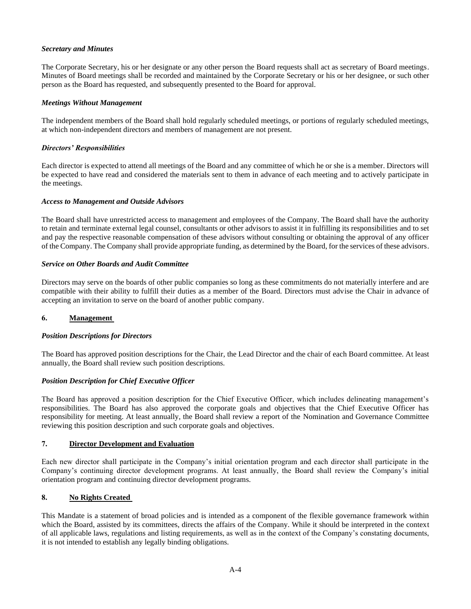# *Secretary and Minutes*

The Corporate Secretary, his or her designate or any other person the Board requests shall act as secretary of Board meetings. Minutes of Board meetings shall be recorded and maintained by the Corporate Secretary or his or her designee, or such other person as the Board has requested, and subsequently presented to the Board for approval.

# *Meetings Without Management*

The independent members of the Board shall hold regularly scheduled meetings, or portions of regularly scheduled meetings, at which non-independent directors and members of management are not present.

# *Directors' Responsibilities*

Each director is expected to attend all meetings of the Board and any committee of which he or she is a member. Directors will be expected to have read and considered the materials sent to them in advance of each meeting and to actively participate in the meetings.

## *Access to Management and Outside Advisors*

The Board shall have unrestricted access to management and employees of the Company. The Board shall have the authority to retain and terminate external legal counsel, consultants or other advisors to assist it in fulfilling its responsibilities and to set and pay the respective reasonable compensation of these advisors without consulting or obtaining the approval of any officer of the Company. The Company shall provide appropriate funding, as determined by the Board, for the services of these advisors.

## *Service on Other Boards and Audit Committee*

Directors may serve on the boards of other public companies so long as these commitments do not materially interfere and are compatible with their ability to fulfill their duties as a member of the Board. Directors must advise the Chair in advance of accepting an invitation to serve on the board of another public company.

# **6. Management**

## *Position Descriptions for Directors*

The Board has approved position descriptions for the Chair, the Lead Director and the chair of each Board committee. At least annually, the Board shall review such position descriptions.

# *Position Description for Chief Executive Officer*

The Board has approved a position description for the Chief Executive Officer, which includes delineating management's responsibilities. The Board has also approved the corporate goals and objectives that the Chief Executive Officer has responsibility for meeting. At least annually, the Board shall review a report of the Nomination and Governance Committee reviewing this position description and such corporate goals and objectives.

# **7. Director Development and Evaluation**

Each new director shall participate in the Company's initial orientation program and each director shall participate in the Company's continuing director development programs. At least annually, the Board shall review the Company's initial orientation program and continuing director development programs.

# **8. No Rights Created**

This Mandate is a statement of broad policies and is intended as a component of the flexible governance framework within which the Board, assisted by its committees, directs the affairs of the Company. While it should be interpreted in the context of all applicable laws, regulations and listing requirements, as well as in the context of the Company's constating documents, it is not intended to establish any legally binding obligations.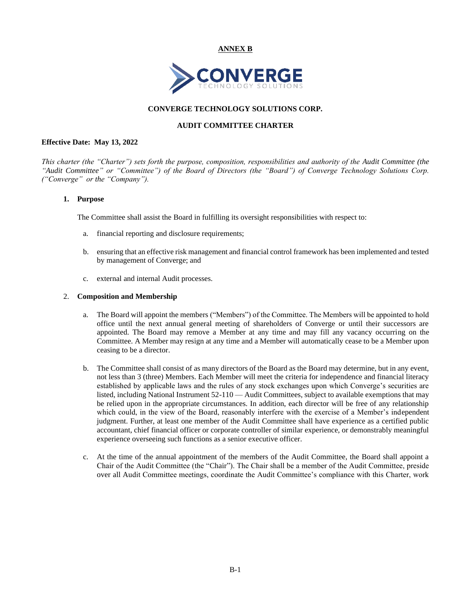**ANNEX B**



# **CONVERGE TECHNOLOGY SOLUTIONS CORP.**

# **AUDIT COMMITTEE CHARTER**

## <span id="page-40-1"></span><span id="page-40-0"></span>**Effective Date: May 13, 2022**

*This charter (the "Charter") sets forth the purpose, composition, responsibilities and authority of the Audit Committee (the "Audit Committee" or "Committee") of the Board of Directors (the "Board") of Converge Technology Solutions Corp. ("Converge" or the "Company").* 

# **1. Purpose**

The Committee shall assist the Board in fulfilling its oversight responsibilities with respect to:

- a. financial reporting and disclosure requirements;
- b. ensuring that an effective risk management and financial control framework has been implemented and tested by management of Converge; and
- c. external and internal Audit processes.

## 2. **Composition and Membership**

- a. The Board will appoint the members ("Members") of the Committee. The Members will be appointed to hold office until the next annual general meeting of shareholders of Converge or until their successors are appointed. The Board may remove a Member at any time and may fill any vacancy occurring on the Committee. A Member may resign at any time and a Member will automatically cease to be a Member upon ceasing to be a director.
- b. The Committee shall consist of as many directors of the Board as the Board may determine, but in any event, not less than 3 (three) Members. Each Member will meet the criteria for independence and financial literacy established by applicable laws and the rules of any stock exchanges upon which Converge's securities are listed, including National Instrument 52-110 — Audit Committees, subject to available exemptions that may be relied upon in the appropriate circumstances. In addition, each director will be free of any relationship which could, in the view of the Board, reasonably interfere with the exercise of a Member's independent judgment. Further, at least one member of the Audit Committee shall have experience as a certified public accountant, chief financial officer or corporate controller of similar experience, or demonstrably meaningful experience overseeing such functions as a senior executive officer.
- c. At the time of the annual appointment of the members of the Audit Committee, the Board shall appoint a Chair of the Audit Committee (the "Chair"). The Chair shall be a member of the Audit Committee, preside over all Audit Committee meetings, coordinate the Audit Committee's compliance with this Charter, work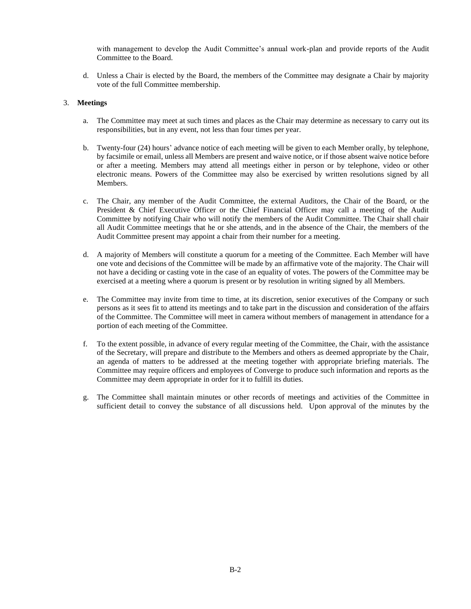with management to develop the Audit Committee's annual work-plan and provide reports of the Audit Committee to the Board.

d. Unless a Chair is elected by the Board, the members of the Committee may designate a Chair by majority vote of the full Committee membership.

# 3. **Meetings**

- a. The Committee may meet at such times and places as the Chair may determine as necessary to carry out its responsibilities, but in any event, not less than four times per year.
- b. Twenty-four (24) hours' advance notice of each meeting will be given to each Member orally, by telephone, by facsimile or email, unless all Members are present and waive notice, or if those absent waive notice before or after a meeting. Members may attend all meetings either in person or by telephone, video or other electronic means. Powers of the Committee may also be exercised by written resolutions signed by all Members.
- c. The Chair, any member of the Audit Committee, the external Auditors, the Chair of the Board, or the President & Chief Executive Officer or the Chief Financial Officer may call a meeting of the Audit Committee by notifying Chair who will notify the members of the Audit Committee. The Chair shall chair all Audit Committee meetings that he or she attends, and in the absence of the Chair, the members of the Audit Committee present may appoint a chair from their number for a meeting.
- d. A majority of Members will constitute a quorum for a meeting of the Committee. Each Member will have one vote and decisions of the Committee will be made by an affirmative vote of the majority. The Chair will not have a deciding or casting vote in the case of an equality of votes. The powers of the Committee may be exercised at a meeting where a quorum is present or by resolution in writing signed by all Members.
- e. The Committee may invite from time to time, at its discretion, senior executives of the Company or such persons as it sees fit to attend its meetings and to take part in the discussion and consideration of the affairs of the Committee. The Committee will meet in camera without members of management in attendance for a portion of each meeting of the Committee.
- f. To the extent possible, in advance of every regular meeting of the Committee, the Chair, with the assistance of the Secretary, will prepare and distribute to the Members and others as deemed appropriate by the Chair, an agenda of matters to be addressed at the meeting together with appropriate briefing materials. The Committee may require officers and employees of Converge to produce such information and reports as the Committee may deem appropriate in order for it to fulfill its duties.
- g. The Committee shall maintain minutes or other records of meetings and activities of the Committee in sufficient detail to convey the substance of all discussions held. Upon approval of the minutes by the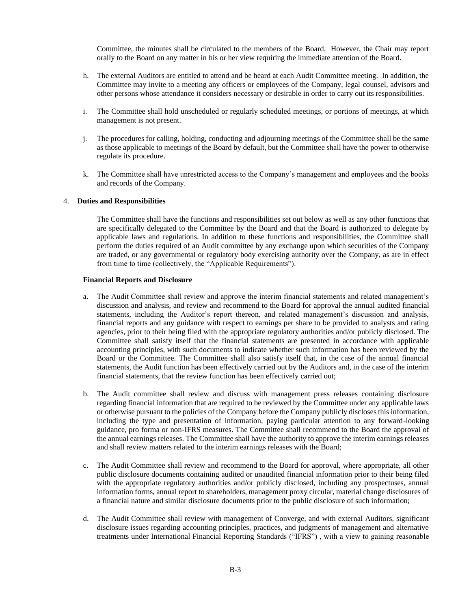Committee, the minutes shall be circulated to the members of the Board. However, the Chair may report orally to the Board on any matter in his or her view requiring the immediate attention of the Board.

- h. The external Auditors are entitled to attend and be heard at each Audit Committee meeting. In addition, the Committee may invite to a meeting any officers or employees of the Company, legal counsel, advisors and other persons whose attendance it considers necessary or desirable in order to carry out its responsibilities.
- i. The Committee shall hold unscheduled or regularly scheduled meetings, or portions of meetings, at which management is not present.
- j. The procedures for calling, holding, conducting and adjourning meetings of the Committee shall be the same as those applicable to meetings of the Board by default, but the Committee shall have the power to otherwise regulate its procedure.
- k. The Committee shall have unrestricted access to the Company's management and employees and the books and records of the Company.

## 4. **Duties and Responsibilities**

The Committee shall have the functions and responsibilities set out below as well as any other functions that are specifically delegated to the Committee by the Board and that the Board is authorized to delegate by applicable laws and regulations. In addition to these functions and responsibilities, the Committee shall perform the duties required of an Audit committee by any exchange upon which securities of the Company are traded, or any governmental or regulatory body exercising authority over the Company, as are in effect from time to time (collectively, the "Applicable Requirements").

#### **Financial Reports and Disclosure**

- a. The Audit Committee shall review and approve the interim financial statements and related management's discussion and analysis, and review and recommend to the Board for approval the annual audited financial statements, including the Auditor's report thereon, and related management's discussion and analysis, financial reports and any guidance with respect to earnings per share to be provided to analysts and rating agencies, prior to their being filed with the appropriate regulatory authorities and/or publicly disclosed. The Committee shall satisfy itself that the financial statements are presented in accordance with applicable accounting principles, with such documents to indicate whether such information has been reviewed by the Board or the Committee. The Committee shall also satisfy itself that, in the case of the annual financial statements, the Audit function has been effectively carried out by the Auditors and, in the case of the interim financial statements, that the review function has been effectively carried out;
- b. The Audit committee shall review and discuss with management press releases containing disclosure regarding financial information that are required to be reviewed by the Committee under any applicable laws or otherwise pursuant to the policies of the Company before the Company publicly discloses this information, including the type and presentation of information, paying particular attention to any forward-looking guidance, pro forma or non-IFRS measures. The Committee shall recommend to the Board the approval of the annual earnings releases. The Committee shall have the authority to approve the interim earnings releases and shall review matters related to the interim earnings releases with the Board;
- c. The Audit Committee shall review and recommend to the Board for approval, where appropriate, all other public disclosure documents containing audited or unaudited financial information prior to their being filed with the appropriate regulatory authorities and/or publicly disclosed, including any prospectuses, annual information forms, annual report to shareholders, management proxy circular, material change disclosures of a financial nature and similar disclosure documents prior to the public disclosure of such information;
- d. The Audit Committee shall review with management of Converge, and with external Auditors, significant disclosure issues regarding accounting principles, practices, and judgments of management and alternative treatments under International Financial Reporting Standards ("IFRS") , with a view to gaining reasonable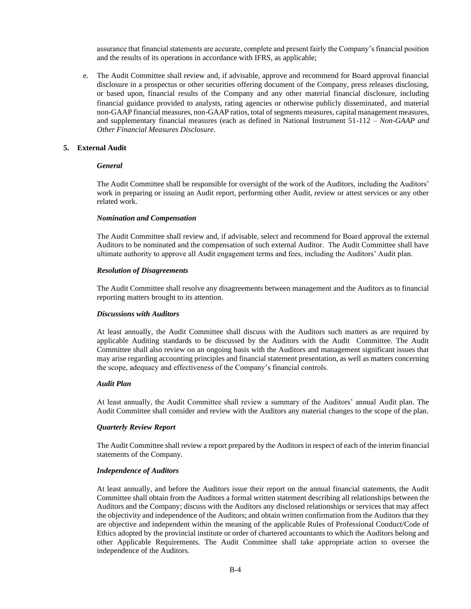assurance that financial statements are accurate, complete and present fairly the Company's financial position and the results of its operations in accordance with IFRS, as applicable;

e. The Audit Committee shall review and, if advisable, approve and recommend for Board approval financial disclosure in a prospectus or other securities offering document of the Company, press releases disclosing, or based upon, financial results of the Company and any other material financial disclosure, including financial guidance provided to analysts, rating agencies or otherwise publicly disseminated, and material non-GAAP financial measures, non-GAAP ratios, total of segments measures, capital management measures, and supplementary financial measures (each as defined in National Instrument 51-112 – *Non-GAAP and Other Financial Measures Disclosure*.

#### **5. External Audit**

#### *General*

The Audit Committee shall be responsible for oversight of the work of the Auditors, including the Auditors' work in preparing or issuing an Audit report, performing other Audit, review or attest services or any other related work.

#### *Nomination and Compensation*

The Audit Committee shall review and, if advisable, select and recommend for Board approval the external Auditors to be nominated and the compensation of such external Auditor. The Audit Committee shall have ultimate authority to approve all Audit engagement terms and fees, including the Auditors' Audit plan.

#### *Resolution of Disagreements*

The Audit Committee shall resolve any disagreements between management and the Auditors as to financial reporting matters brought to its attention.

#### *Discussions with Auditors*

At least annually, the Audit Committee shall discuss with the Auditors such matters as are required by applicable Auditing standards to be discussed by the Auditors with the Audit Committee. The Audit Committee shall also review on an ongoing basis with the Auditors and management significant issues that may arise regarding accounting principles and financial statement presentation, as well as matters concerning the scope, adequacy and effectiveness of the Company's financial controls.

#### *Audit Plan*

At least annually, the Audit Committee shall review a summary of the Auditors' annual Audit plan. The Audit Committee shall consider and review with the Auditors any material changes to the scope of the plan.

## *Quarterly Review Report*

The Audit Committee shall review a report prepared by the Auditors in respect of each of the interim financial statements of the Company.

#### *Independence of Auditors*

At least annually, and before the Auditors issue their report on the annual financial statements, the Audit Committee shall obtain from the Auditors a formal written statement describing all relationships between the Auditors and the Company; discuss with the Auditors any disclosed relationships or services that may affect the objectivity and independence of the Auditors; and obtain written confirmation from the Auditors that they are objective and independent within the meaning of the applicable Rules of Professional Conduct/Code of Ethics adopted by the provincial institute or order of chartered accountants to which the Auditors belong and other Applicable Requirements. The Audit Committee shall take appropriate action to oversee the independence of the Auditors.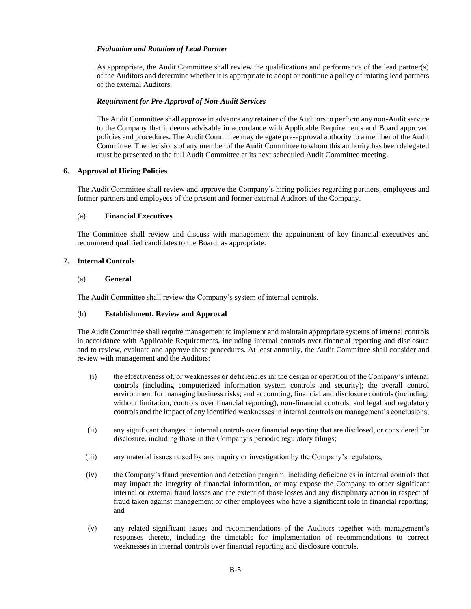# *Evaluation and Rotation of Lead Partner*

As appropriate, the Audit Committee shall review the qualifications and performance of the lead partner(s) of the Auditors and determine whether it is appropriate to adopt or continue a policy of rotating lead partners of the external Auditors.

# *Requirement for Pre-Approval of Non-Audit Services*

The Audit Committee shall approve in advance any retainer of the Auditors to perform any non-Audit service to the Company that it deems advisable in accordance with Applicable Requirements and Board approved policies and procedures. The Audit Committee may delegate pre-approval authority to a member of the Audit Committee. The decisions of any member of the Audit Committee to whom this authority has been delegated must be presented to the full Audit Committee at its next scheduled Audit Committee meeting.

## **6. Approval of Hiring Policies**

The Audit Committee shall review and approve the Company's hiring policies regarding partners, employees and former partners and employees of the present and former external Auditors of the Company.

## (a) **Financial Executives**

The Committee shall review and discuss with management the appointment of key financial executives and recommend qualified candidates to the Board, as appropriate.

## **7. Internal Controls**

## (a) **General**

The Audit Committee shall review the Company's system of internal controls.

## (b) **Establishment, Review and Approval**

The Audit Committee shall require management to implement and maintain appropriate systems of internal controls in accordance with Applicable Requirements, including internal controls over financial reporting and disclosure and to review, evaluate and approve these procedures. At least annually, the Audit Committee shall consider and review with management and the Auditors:

- (i) the effectiveness of, or weaknesses or deficiencies in: the design or operation of the Company's internal controls (including computerized information system controls and security); the overall control environment for managing business risks; and accounting, financial and disclosure controls (including, without limitation, controls over financial reporting), non-financial controls, and legal and regulatory controls and the impact of any identified weaknesses in internal controls on management's conclusions;
- (ii) any significant changes in internal controls over financial reporting that are disclosed, or considered for disclosure, including those in the Company's periodic regulatory filings;
- (iii) any material issues raised by any inquiry or investigation by the Company's regulators;
- (iv) the Company's fraud prevention and detection program, including deficiencies in internal controls that may impact the integrity of financial information, or may expose the Company to other significant internal or external fraud losses and the extent of those losses and any disciplinary action in respect of fraud taken against management or other employees who have a significant role in financial reporting; and
- (v) any related significant issues and recommendations of the Auditors together with management's responses thereto, including the timetable for implementation of recommendations to correct weaknesses in internal controls over financial reporting and disclosure controls.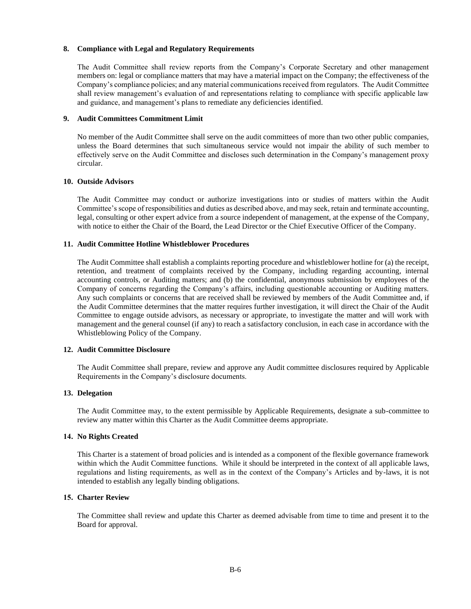## **8. Compliance with Legal and Regulatory Requirements**

The Audit Committee shall review reports from the Company's Corporate Secretary and other management members on: legal or compliance matters that may have a material impact on the Company; the effectiveness of the Company's compliance policies; and any material communications received from regulators. The Audit Committee shall review management's evaluation of and representations relating to compliance with specific applicable law and guidance, and management's plans to remediate any deficiencies identified.

# **9. Audit Committees Commitment Limit**

No member of the Audit Committee shall serve on the audit committees of more than two other public companies, unless the Board determines that such simultaneous service would not impair the ability of such member to effectively serve on the Audit Committee and discloses such determination in the Company's management proxy circular.

## **10. Outside Advisors**

The Audit Committee may conduct or authorize investigations into or studies of matters within the Audit Committee's scope of responsibilities and duties as described above, and may seek, retain and terminate accounting, legal, consulting or other expert advice from a source independent of management, at the expense of the Company, with notice to either the Chair of the Board, the Lead Director or the Chief Executive Officer of the Company.

## **11. Audit Committee Hotline Whistleblower Procedures**

The Audit Committee shall establish a complaints reporting procedure and whistleblower hotline for (a) the receipt, retention, and treatment of complaints received by the Company, including regarding accounting, internal accounting controls, or Auditing matters; and (b) the confidential, anonymous submission by employees of the Company of concerns regarding the Company's affairs, including questionable accounting or Auditing matters. Any such complaints or concerns that are received shall be reviewed by members of the Audit Committee and, if the Audit Committee determines that the matter requires further investigation, it will direct the Chair of the Audit Committee to engage outside advisors, as necessary or appropriate, to investigate the matter and will work with management and the general counsel (if any) to reach a satisfactory conclusion, in each case in accordance with the Whistleblowing Policy of the Company.

## **12. Audit Committee Disclosure**

The Audit Committee shall prepare, review and approve any Audit committee disclosures required by Applicable Requirements in the Company's disclosure documents.

## **13. Delegation**

The Audit Committee may, to the extent permissible by Applicable Requirements, designate a sub-committee to review any matter within this Charter as the Audit Committee deems appropriate.

## **14. No Rights Created**

This Charter is a statement of broad policies and is intended as a component of the flexible governance framework within which the Audit Committee functions. While it should be interpreted in the context of all applicable laws, regulations and listing requirements, as well as in the context of the Company's Articles and by-laws, it is not intended to establish any legally binding obligations.

## **15. Charter Review**

The Committee shall review and update this Charter as deemed advisable from time to time and present it to the Board for approval.